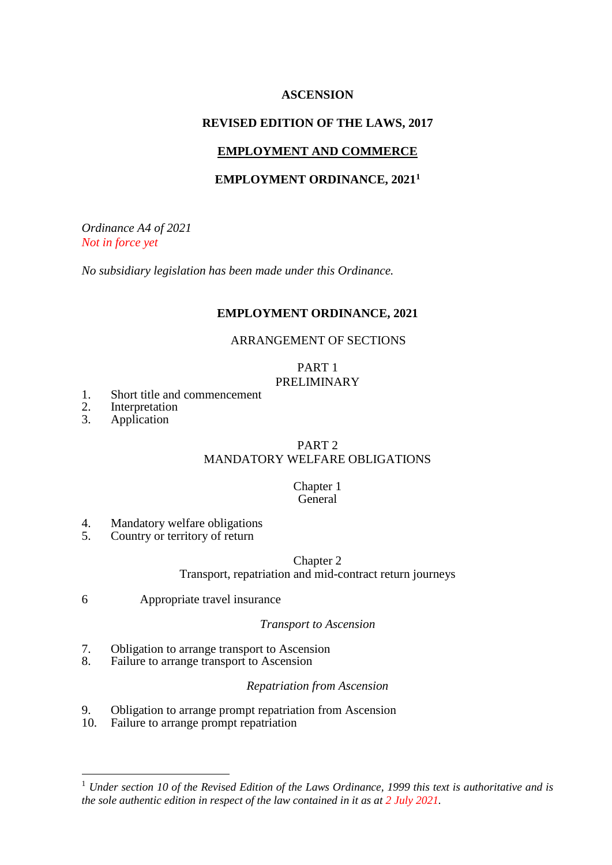# **ASCENSION**

# **REVISED EDITION OF THE LAWS, 2017**

# **EMPLOYMENT AND COMMERCE**

# **EMPLOYMENT ORDINANCE, 2021<sup>1</sup>**

*Ordinance A4 of 2021 Not in force yet*

*No subsidiary legislation has been made under this Ordinance.*

### **EMPLOYMENT ORDINANCE, 2021**

#### ARRANGEMENT OF SECTIONS

# PART 1 PRELIMINARY

- 1. Short title and commencement
- 2. Interpretation
- 3. Application

1

# PART 2

# MANDATORY WELFARE OBLIGATIONS

#### Chapter 1 **General**

- 4. Mandatory welfare obligations<br>5. Country or territory of return
- 5. Country or territory of return

### Chapter 2 Transport, repatriation and mid-contract return journeys

6 Appropriate travel insurance

# *Transport to Ascension*

- 7. Obligation to arrange transport to Ascension
- 8. Failure to arrange transport to Ascension

#### *Repatriation from Ascension*

- 9. Obligation to arrange prompt repatriation from Ascension
- 10. Failure to arrange prompt repatriation

<sup>1</sup> *Under section 10 of the Revised Edition of the Laws Ordinance, 1999 this text is authoritative and is the sole authentic edition in respect of the law contained in it as at 2 July 2021.*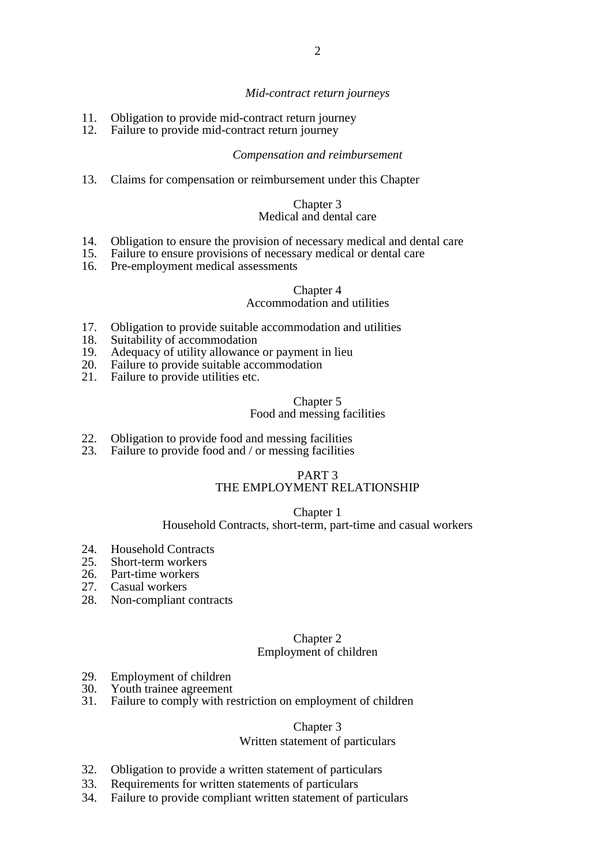#### *Mid-contract return journeys*

- 11. Obligation to provide mid-contract return journey<br>12. Failure to provide mid-contract return journey
- Failure to provide mid-contract return journey

#### *Compensation and reimbursement*

13. Claims for compensation or reimbursement under this Chapter

#### Chapter 3 Medical and dental care

- 14. Obligation to ensure the provision of necessary medical and dental care<br>15. Failure to ensure provisions of necessary medical or dental care
- 15. Failure to ensure provisions of necessary medical or dental care<br>16. Pre-employment medical assessments
- Pre-employment medical assessments

#### Chapter 4

#### Accommodation and utilities

- 17. Obligation to provide suitable accommodation and utilities<br>18. Suitability of accommodation
- 
- 18. Suitability of accommodation<br>19. Adequacy of utility allowance 19. Adequacy of utility allowance or payment in lieu<br>20. Failure to provide suitable accommodation
- Failure to provide suitable accommodation
- 21. Failure to provide utilities etc.

### Chapter 5

#### Food and messing facilities

- 22. Obligation to provide food and messing facilities
- 23. Failure to provide food and / or messing facilities

#### PART 3 THE EMPLOYMENT RELATIONSHIP

#### Chapter 1

#### Household Contracts, short-term, part-time and casual workers

- 24. Household Contracts
- 25. Short-term workers
- 26. Part-time workers
- 27. Casual workers
- 28. Non-compliant contracts

#### Chapter 2 Employment of children

- 29. Employment of children
- 30. Youth trainee agreement
- 31. Failure to comply with restriction on employment of children

#### Chapter 3

#### Written statement of particulars

- 32. Obligation to provide a written statement of particulars
- 33. Requirements for written statements of particulars
- 34. Failure to provide compliant written statement of particulars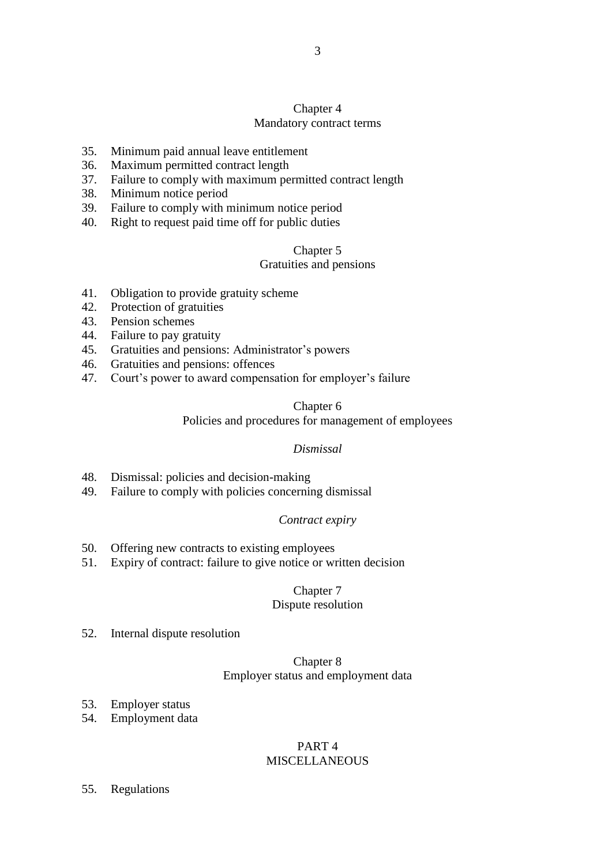# Chapter 4 Mandatory contract terms

- 35. Minimum paid annual leave entitlement
- 36. Maximum permitted contract length
- 37. Failure to comply with maximum permitted contract length
- 38. Minimum notice period
- 39. Failure to comply with minimum notice period
- 40. Right to request paid time off for public duties

#### Chapter 5

#### Gratuities and pensions

- 41. Obligation to provide gratuity scheme
- 42. Protection of gratuities
- 43. Pension schemes
- 44. Failure to pay gratuity
- 45. Gratuities and pensions: Administrator's powers
- 46. Gratuities and pensions: offences
- 47. Court's power to award compensation for employer's failure

#### Chapter 6

### Policies and procedures for management of employees

# *Dismissal*

- 48. Dismissal: policies and decision-making
- 49. Failure to comply with policies concerning dismissal

# *Contract expiry*

- 50. Offering new contracts to existing employees
- 51. Expiry of contract: failure to give notice or written decision

# Chapter 7

#### Dispute resolution

52. Internal dispute resolution

# Chapter 8 Employer status and employment data

- 53. Employer status
- 54. Employment data

# PART 4 MISCELLANEOUS

55. Regulations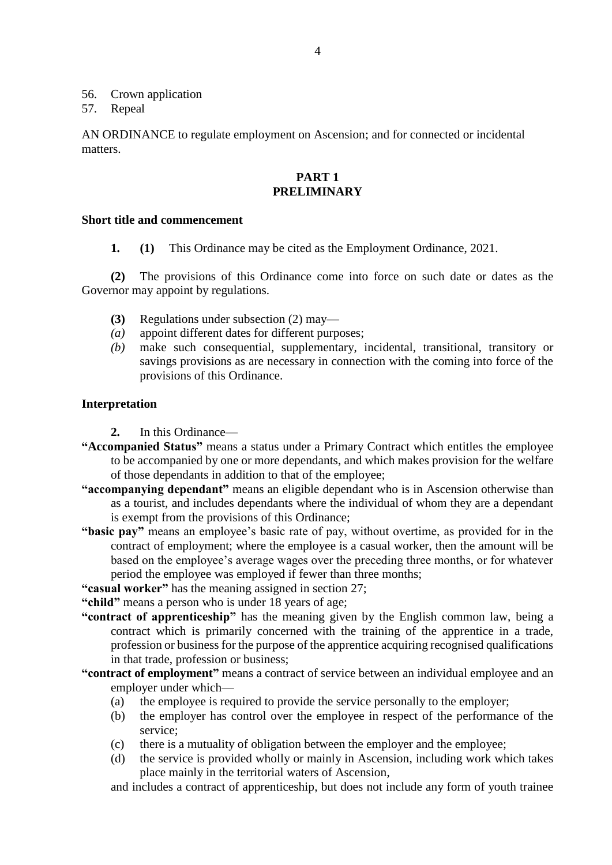56. Crown application

57. Repeal

AN ORDINANCE to regulate employment on Ascension; and for connected or incidental matters.

# **PART 1 PRELIMINARY**

### **Short title and commencement**

**1. (1)** This Ordinance may be cited as the Employment Ordinance, 2021.

**(2)** The provisions of this Ordinance come into force on such date or dates as the Governor may appoint by regulations.

- **(3)** Regulations under subsection (2) may—
- *(a)* appoint different dates for different purposes;
- *(b)* make such consequential, supplementary, incidental, transitional, transitory or savings provisions as are necessary in connection with the coming into force of the provisions of this Ordinance.

# **Interpretation**

- **2.** In this Ordinance—
- **"Accompanied Status"** means a status under a Primary Contract which entitles the employee to be accompanied by one or more dependants, and which makes provision for the welfare of those dependants in addition to that of the employee;
- **"accompanying dependant"** means an eligible dependant who is in Ascension otherwise than as a tourist, and includes dependants where the individual of whom they are a dependant is exempt from the provisions of this Ordinance;
- **"basic pay"** means an employee's basic rate of pay, without overtime, as provided for in the contract of employment; where the employee is a casual worker, then the amount will be based on the employee's average wages over the preceding three months, or for whatever period the employee was employed if fewer than three months;
- **"casual worker"** has the meaning assigned in section 27;

**"child"** means a person who is under 18 years of age;

- **"contract of apprenticeship"** has the meaning given by the English common law, being a contract which is primarily concerned with the training of the apprentice in a trade, profession or business for the purpose of the apprentice acquiring recognised qualifications in that trade, profession or business;
- **"contract of employment"** means a contract of service between an individual employee and an employer under which—
	- (a) the employee is required to provide the service personally to the employer;
	- (b) the employer has control over the employee in respect of the performance of the service;
	- (c) there is a mutuality of obligation between the employer and the employee;
	- (d) the service is provided wholly or mainly in Ascension, including work which takes place mainly in the territorial waters of Ascension,

and includes a contract of apprenticeship, but does not include any form of youth trainee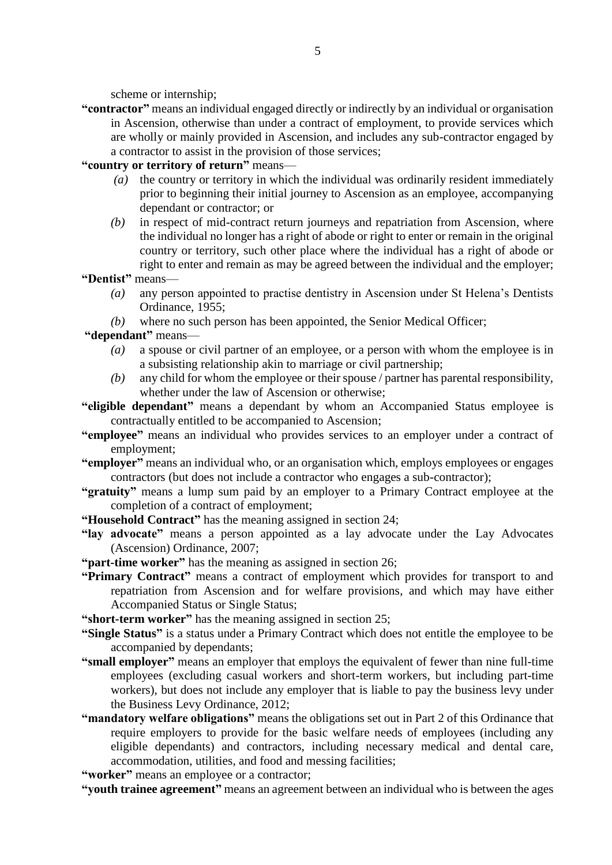scheme or internship;

**"contractor"** means an individual engaged directly or indirectly by an individual or organisation in Ascension, otherwise than under a contract of employment, to provide services which are wholly or mainly provided in Ascension, and includes any sub-contractor engaged by a contractor to assist in the provision of those services;

**"country or territory of return"** means—

- *(a)* the country or territory in which the individual was ordinarily resident immediately prior to beginning their initial journey to Ascension as an employee, accompanying dependant or contractor; or
- *(b)* in respect of mid-contract return journeys and repatriation from Ascension, where the individual no longer has a right of abode or right to enter or remain in the original country or territory, such other place where the individual has a right of abode or right to enter and remain as may be agreed between the individual and the employer;

**"Dentist"** means—

- *(a)* any person appointed to practise dentistry in Ascension under St Helena's Dentists Ordinance, 1955;
- *(b)* where no such person has been appointed, the Senior Medical Officer;

**"dependant"** means—

- *(a)* a spouse or civil partner of an employee, or a person with whom the employee is in a subsisting relationship akin to marriage or civil partnership;
- *(b)* any child for whom the employee or their spouse / partner has parental responsibility, whether under the law of Ascension or otherwise;
- **"eligible dependant"** means a dependant by whom an Accompanied Status employee is contractually entitled to be accompanied to Ascension;
- **"employee"** means an individual who provides services to an employer under a contract of employment;
- **"employer"** means an individual who, or an organisation which, employs employees or engages contractors (but does not include a contractor who engages a sub-contractor);
- **"gratuity"** means a lump sum paid by an employer to a Primary Contract employee at the completion of a contract of employment;
- **"Household Contract"** has the meaning assigned in section 24;
- **"lay advocate"** means a person appointed as a lay advocate under the Lay Advocates (Ascension) Ordinance, 2007;
- **"part-time worker"** has the meaning as assigned in section 26;
- **"Primary Contract"** means a contract of employment which provides for transport to and repatriation from Ascension and for welfare provisions, and which may have either Accompanied Status or Single Status;

**"short-term worker"** has the meaning assigned in section 25;

- **"Single Status"** is a status under a Primary Contract which does not entitle the employee to be accompanied by dependants;
- **"small employer"** means an employer that employs the equivalent of fewer than nine full-time employees (excluding casual workers and short-term workers, but including part-time workers), but does not include any employer that is liable to pay the business levy under the Business Levy Ordinance, 2012;
- **"mandatory welfare obligations"** means the obligations set out in Part 2 of this Ordinance that require employers to provide for the basic welfare needs of employees (including any eligible dependants) and contractors, including necessary medical and dental care, accommodation, utilities, and food and messing facilities;

**"worker"** means an employee or a contractor;

**"youth trainee agreement"** means an agreement between an individual who is between the ages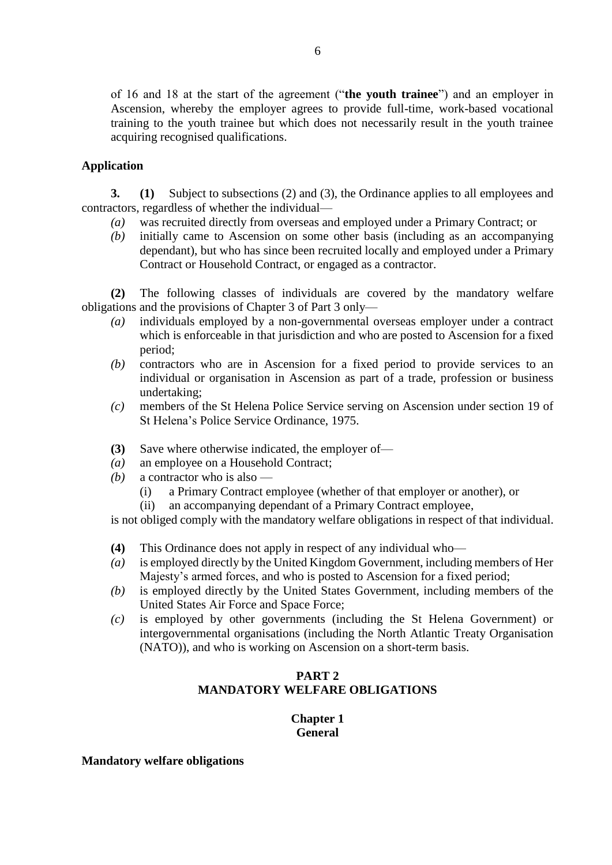of 16 and 18 at the start of the agreement ("**the youth trainee**") and an employer in Ascension, whereby the employer agrees to provide full-time, work-based vocational training to the youth trainee but which does not necessarily result in the youth trainee acquiring recognised qualifications.

# **Application**

**3. (1)** Subject to subsections (2) and (3), the Ordinance applies to all employees and contractors, regardless of whether the individual—

- *(a)* was recruited directly from overseas and employed under a Primary Contract; or
- *(b)* initially came to Ascension on some other basis (including as an accompanying dependant), but who has since been recruited locally and employed under a Primary Contract or Household Contract, or engaged as a contractor.

**(2)** The following classes of individuals are covered by the mandatory welfare obligations and the provisions of Chapter 3 of Part 3 only—

- *(a)* individuals employed by a non-governmental overseas employer under a contract which is enforceable in that jurisdiction and who are posted to Ascension for a fixed period;
- *(b)* contractors who are in Ascension for a fixed period to provide services to an individual or organisation in Ascension as part of a trade, profession or business undertaking;
- *(c)* members of the St Helena Police Service serving on Ascension under section 19 of St Helena's Police Service Ordinance, 1975.
- **(3)** Save where otherwise indicated, the employer of—
- *(a)* an employee on a Household Contract;
- *(b)* a contractor who is also
	- (i) a Primary Contract employee (whether of that employer or another), or
	- (ii) an accompanying dependant of a Primary Contract employee,

is not obliged comply with the mandatory welfare obligations in respect of that individual.

- **(4)** This Ordinance does not apply in respect of any individual who—
- *(a)* is employed directly by the United Kingdom Government, including members of Her Majesty's armed forces, and who is posted to Ascension for a fixed period;
- *(b)* is employed directly by the United States Government, including members of the United States Air Force and Space Force;
- *(c)* is employed by other governments (including the St Helena Government) or intergovernmental organisations (including the North Atlantic Treaty Organisation (NATO)), and who is working on Ascension on a short-term basis.

# **PART 2 MANDATORY WELFARE OBLIGATIONS**

# **Chapter 1 General**

#### **Mandatory welfare obligations**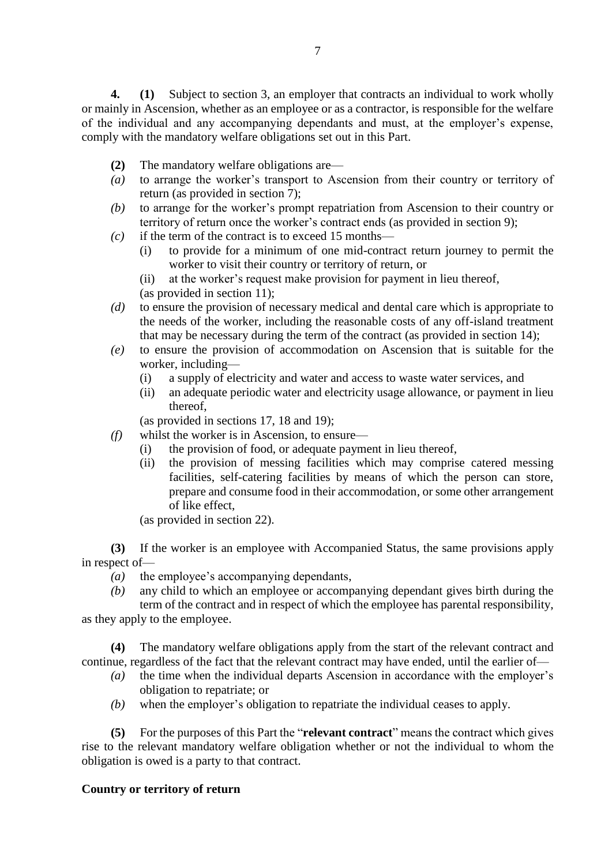**4. (1)** Subject to section 3, an employer that contracts an individual to work wholly or mainly in Ascension, whether as an employee or as a contractor, is responsible for the welfare of the individual and any accompanying dependants and must, at the employer's expense, comply with the mandatory welfare obligations set out in this Part.

- **(2)** The mandatory welfare obligations are—
- *(a)* to arrange the worker's transport to Ascension from their country or territory of return (as provided in section 7);
- *(b)* to arrange for the worker's prompt repatriation from Ascension to their country or territory of return once the worker's contract ends (as provided in section 9);
- *(c)* if the term of the contract is to exceed 15 months—
	- (i) to provide for a minimum of one mid-contract return journey to permit the worker to visit their country or territory of return, or
	- (ii) at the worker's request make provision for payment in lieu thereof, (as provided in section 11);
- *(d)* to ensure the provision of necessary medical and dental care which is appropriate to the needs of the worker, including the reasonable costs of any off-island treatment that may be necessary during the term of the contract (as provided in section 14);
- *(e)* to ensure the provision of accommodation on Ascension that is suitable for the worker, including—
	- (i) a supply of electricity and water and access to waste water services, and
	- (ii) an adequate periodic water and electricity usage allowance, or payment in lieu thereof,

(as provided in sections 17, 18 and 19);

- *(f)* whilst the worker is in Ascension, to ensure—
	- (i) the provision of food, or adequate payment in lieu thereof,
	- (ii) the provision of messing facilities which may comprise catered messing facilities, self-catering facilities by means of which the person can store, prepare and consume food in their accommodation, or some other arrangement of like effect,

(as provided in section 22).

**(3)** If the worker is an employee with Accompanied Status, the same provisions apply in respect of—

- *(a)* the employee's accompanying dependants,
- *(b)* any child to which an employee or accompanying dependant gives birth during the term of the contract and in respect of which the employee has parental responsibility,

as they apply to the employee.

**(4)** The mandatory welfare obligations apply from the start of the relevant contract and continue, regardless of the fact that the relevant contract may have ended, until the earlier of—

- *(a)* the time when the individual departs Ascension in accordance with the employer's obligation to repatriate; or
- *(b)* when the employer's obligation to repatriate the individual ceases to apply.

**(5)** For the purposes of this Part the "**relevant contract**" means the contract which gives rise to the relevant mandatory welfare obligation whether or not the individual to whom the obligation is owed is a party to that contract.

#### **Country or territory of return**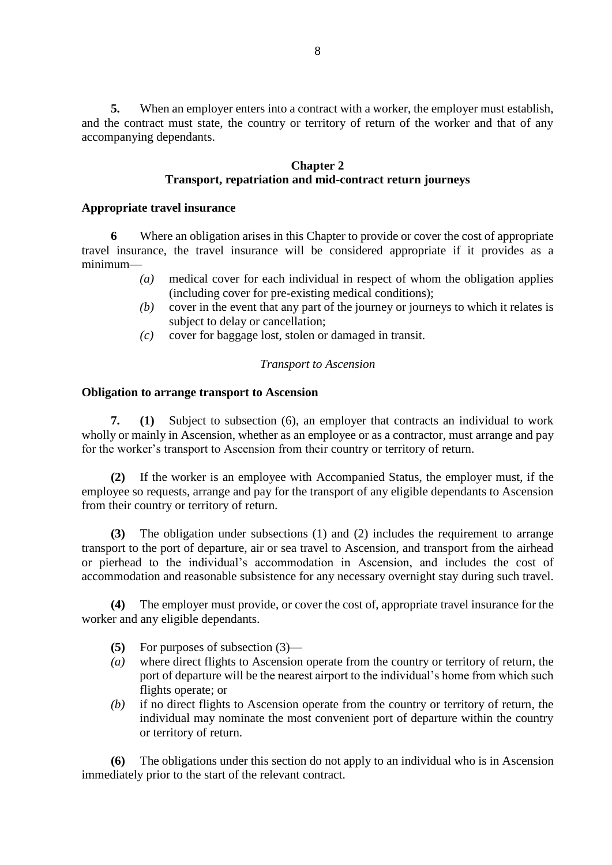**5.** When an employer enters into a contract with a worker, the employer must establish, and the contract must state, the country or territory of return of the worker and that of any accompanying dependants.

# **Chapter 2 Transport, repatriation and mid-contract return journeys**

# **Appropriate travel insurance**

**6** Where an obligation arises in this Chapter to provide or cover the cost of appropriate travel insurance, the travel insurance will be considered appropriate if it provides as a minimum—

- *(a)* medical cover for each individual in respect of whom the obligation applies (including cover for pre-existing medical conditions);
- *(b)* cover in the event that any part of the journey or journeys to which it relates is subject to delay or cancellation;
- *(c)* cover for baggage lost, stolen or damaged in transit.

# *Transport to Ascension*

# **Obligation to arrange transport to Ascension**

**7. (1)** Subject to subsection (6), an employer that contracts an individual to work wholly or mainly in Ascension, whether as an employee or as a contractor, must arrange and pay for the worker's transport to Ascension from their country or territory of return.

**(2)** If the worker is an employee with Accompanied Status, the employer must, if the employee so requests, arrange and pay for the transport of any eligible dependants to Ascension from their country or territory of return.

**(3)** The obligation under subsections (1) and (2) includes the requirement to arrange transport to the port of departure, air or sea travel to Ascension, and transport from the airhead or pierhead to the individual's accommodation in Ascension, and includes the cost of accommodation and reasonable subsistence for any necessary overnight stay during such travel.

**(4)** The employer must provide, or cover the cost of, appropriate travel insurance for the worker and any eligible dependants.

- **(5)** For purposes of subsection (3)—
- *(a)* where direct flights to Ascension operate from the country or territory of return, the port of departure will be the nearest airport to the individual's home from which such flights operate; or
- *(b)* if no direct flights to Ascension operate from the country or territory of return, the individual may nominate the most convenient port of departure within the country or territory of return.

**(6)** The obligations under this section do not apply to an individual who is in Ascension immediately prior to the start of the relevant contract.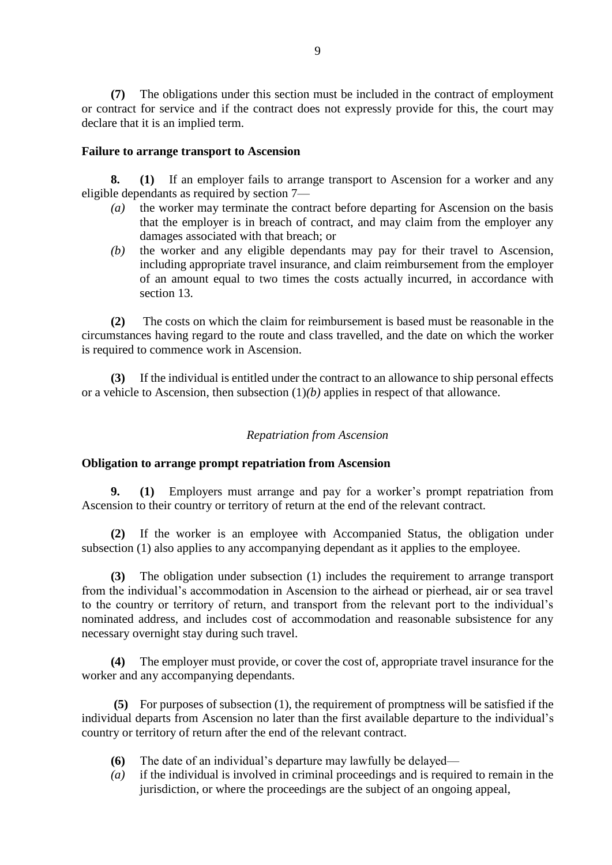**(7)** The obligations under this section must be included in the contract of employment or contract for service and if the contract does not expressly provide for this, the court may declare that it is an implied term.

#### **Failure to arrange transport to Ascension**

**8. (1)** If an employer fails to arrange transport to Ascension for a worker and any eligible dependants as required by section 7—

- *(a)* the worker may terminate the contract before departing for Ascension on the basis that the employer is in breach of contract, and may claim from the employer any damages associated with that breach; or
- *(b)* the worker and any eligible dependants may pay for their travel to Ascension, including appropriate travel insurance, and claim reimbursement from the employer of an amount equal to two times the costs actually incurred, in accordance with section 13.

**(2)** The costs on which the claim for reimbursement is based must be reasonable in the circumstances having regard to the route and class travelled, and the date on which the worker is required to commence work in Ascension.

**(3)** If the individual is entitled under the contract to an allowance to ship personal effects or a vehicle to Ascension, then subsection (1)*(b)* applies in respect of that allowance.

# *Repatriation from Ascension*

#### **Obligation to arrange prompt repatriation from Ascension**

**9. (1)** Employers must arrange and pay for a worker's prompt repatriation from Ascension to their country or territory of return at the end of the relevant contract.

**(2)** If the worker is an employee with Accompanied Status, the obligation under subsection (1) also applies to any accompanying dependant as it applies to the employee.

**(3)** The obligation under subsection (1) includes the requirement to arrange transport from the individual's accommodation in Ascension to the airhead or pierhead, air or sea travel to the country or territory of return, and transport from the relevant port to the individual's nominated address, and includes cost of accommodation and reasonable subsistence for any necessary overnight stay during such travel.

**(4)** The employer must provide, or cover the cost of, appropriate travel insurance for the worker and any accompanying dependants.

**(5)** For purposes of subsection (1), the requirement of promptness will be satisfied if the individual departs from Ascension no later than the first available departure to the individual's country or territory of return after the end of the relevant contract.

- **(6)** The date of an individual's departure may lawfully be delayed—
- *(a)* if the individual is involved in criminal proceedings and is required to remain in the jurisdiction, or where the proceedings are the subject of an ongoing appeal,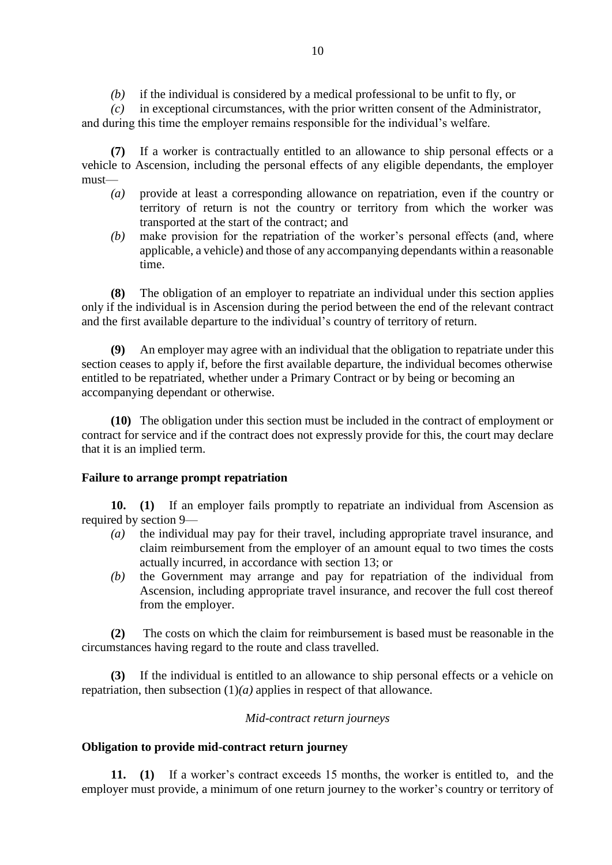*(b)* if the individual is considered by a medical professional to be unfit to fly, or

*(c)* in exceptional circumstances, with the prior written consent of the Administrator, and during this time the employer remains responsible for the individual's welfare.

**(7)** If a worker is contractually entitled to an allowance to ship personal effects or a vehicle to Ascension, including the personal effects of any eligible dependants, the employer must—

- *(a)* provide at least a corresponding allowance on repatriation, even if the country or territory of return is not the country or territory from which the worker was transported at the start of the contract; and
- *(b)* make provision for the repatriation of the worker's personal effects (and, where applicable, a vehicle) and those of any accompanying dependants within a reasonable time.

**(8)** The obligation of an employer to repatriate an individual under this section applies only if the individual is in Ascension during the period between the end of the relevant contract and the first available departure to the individual's country of territory of return.

**(9)** An employer may agree with an individual that the obligation to repatriate under this section ceases to apply if, before the first available departure, the individual becomes otherwise entitled to be repatriated, whether under a Primary Contract or by being or becoming an accompanying dependant or otherwise.

**(10)** The obligation under this section must be included in the contract of employment or contract for service and if the contract does not expressly provide for this, the court may declare that it is an implied term.

# **Failure to arrange prompt repatriation**

**10. (1)** If an employer fails promptly to repatriate an individual from Ascension as required by section 9—

- *(a)* the individual may pay for their travel, including appropriate travel insurance, and claim reimbursement from the employer of an amount equal to two times the costs actually incurred, in accordance with section 13; or
- *(b)* the Government may arrange and pay for repatriation of the individual from Ascension, including appropriate travel insurance, and recover the full cost thereof from the employer.

**(2)** The costs on which the claim for reimbursement is based must be reasonable in the circumstances having regard to the route and class travelled.

**(3)** If the individual is entitled to an allowance to ship personal effects or a vehicle on repatriation, then subsection (1)*(a)* applies in respect of that allowance.

# *Mid-contract return journeys*

# **Obligation to provide mid-contract return journey**

**11. (1)** If a worker's contract exceeds 15 months, the worker is entitled to, and the employer must provide, a minimum of one return journey to the worker's country or territory of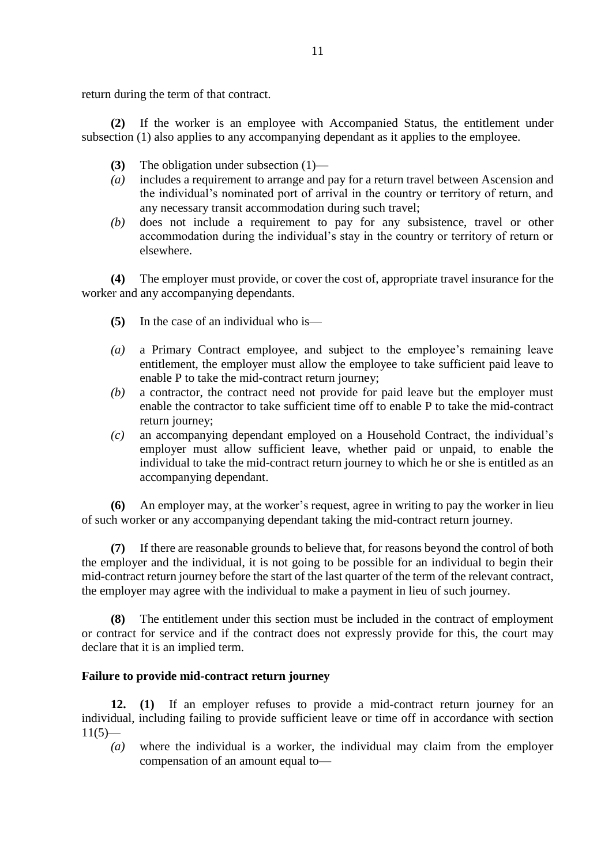return during the term of that contract.

**(2)** If the worker is an employee with Accompanied Status, the entitlement under subsection (1) also applies to any accompanying dependant as it applies to the employee.

- **(3)** The obligation under subsection (1)—
- *(a)* includes a requirement to arrange and pay for a return travel between Ascension and the individual's nominated port of arrival in the country or territory of return, and any necessary transit accommodation during such travel;
- *(b)* does not include a requirement to pay for any subsistence, travel or other accommodation during the individual's stay in the country or territory of return or elsewhere.

**(4)** The employer must provide, or cover the cost of, appropriate travel insurance for the worker and any accompanying dependants.

- **(5)** In the case of an individual who is—
- *(a)* a Primary Contract employee, and subject to the employee's remaining leave entitlement, the employer must allow the employee to take sufficient paid leave to enable P to take the mid-contract return journey;
- *(b)* a contractor, the contract need not provide for paid leave but the employer must enable the contractor to take sufficient time off to enable P to take the mid-contract return journey;
- *(c)* an accompanying dependant employed on a Household Contract, the individual's employer must allow sufficient leave, whether paid or unpaid, to enable the individual to take the mid-contract return journey to which he or she is entitled as an accompanying dependant.

**(6)** An employer may, at the worker's request, agree in writing to pay the worker in lieu of such worker or any accompanying dependant taking the mid-contract return journey.

**(7)** If there are reasonable grounds to believe that, for reasons beyond the control of both the employer and the individual, it is not going to be possible for an individual to begin their mid-contract return journey before the start of the last quarter of the term of the relevant contract, the employer may agree with the individual to make a payment in lieu of such journey.

**(8)** The entitlement under this section must be included in the contract of employment or contract for service and if the contract does not expressly provide for this, the court may declare that it is an implied term.

# **Failure to provide mid-contract return journey**

**12. (1)** If an employer refuses to provide a mid-contract return journey for an individual, including failing to provide sufficient leave or time off in accordance with section  $11(5)$ —

*(a)* where the individual is a worker, the individual may claim from the employer compensation of an amount equal to—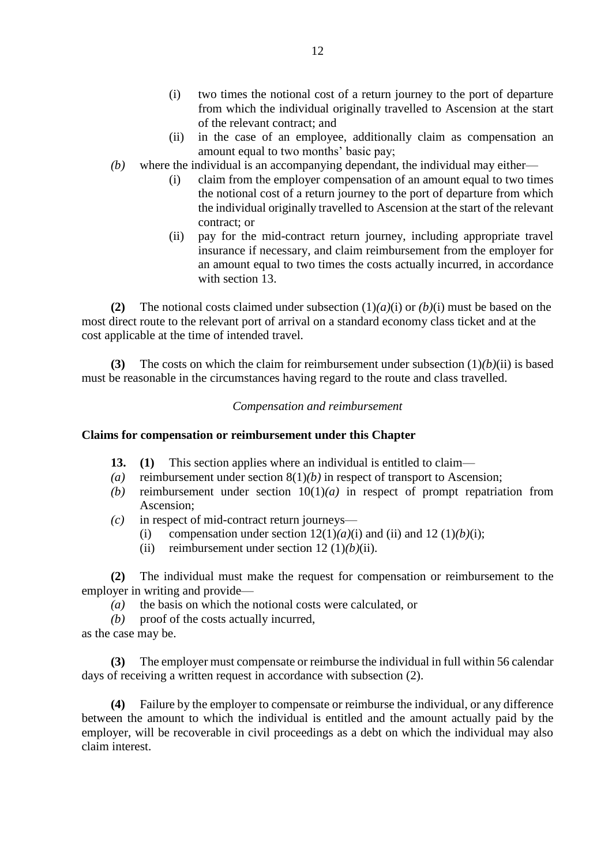- (i) two times the notional cost of a return journey to the port of departure from which the individual originally travelled to Ascension at the start of the relevant contract; and
- (ii) in the case of an employee, additionally claim as compensation an amount equal to two months' basic pay;
- *(b)* where the individual is an accompanying dependant, the individual may either—
	- (i) claim from the employer compensation of an amount equal to two times the notional cost of a return journey to the port of departure from which the individual originally travelled to Ascension at the start of the relevant contract; or
	- (ii) pay for the mid-contract return journey, including appropriate travel insurance if necessary, and claim reimbursement from the employer for an amount equal to two times the costs actually incurred, in accordance with section 13.

**(2)** The notional costs claimed under subsection (1)*(a)*(i) or *(b)*(i) must be based on the most direct route to the relevant port of arrival on a standard economy class ticket and at the cost applicable at the time of intended travel.

**(3)** The costs on which the claim for reimbursement under subsection (1)*(b)*(ii) is based must be reasonable in the circumstances having regard to the route and class travelled.

# *Compensation and reimbursement*

#### **Claims for compensation or reimbursement under this Chapter**

- **13. (1)** This section applies where an individual is entitled to claim—
- *(a)* reimbursement under section 8(1)*(b)* in respect of transport to Ascension;
- *(b)* reimbursement under section 10(1)*(a)* in respect of prompt repatriation from Ascension;
- *(c)* in respect of mid-contract return journeys—
	- (i) compensation under section  $12(1)(a)(i)$  and (ii) and  $12(1)(b)(i)$ ;
	- (ii) reimbursement under section 12 (1)*(b)*(ii).

**(2)** The individual must make the request for compensation or reimbursement to the employer in writing and provide—

- *(a)* the basis on which the notional costs were calculated, or
- *(b)* proof of the costs actually incurred,
- as the case may be.

**(3)** The employer must compensate or reimburse the individual in full within 56 calendar days of receiving a written request in accordance with subsection (2).

**(4)** Failure by the employer to compensate or reimburse the individual, or any difference between the amount to which the individual is entitled and the amount actually paid by the employer, will be recoverable in civil proceedings as a debt on which the individual may also claim interest.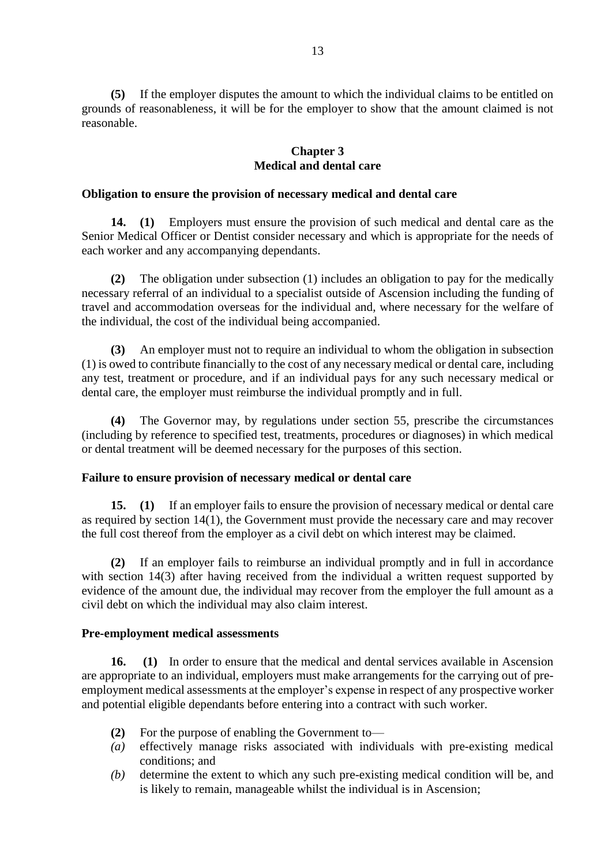**(5)** If the employer disputes the amount to which the individual claims to be entitled on grounds of reasonableness, it will be for the employer to show that the amount claimed is not reasonable.

### **Chapter 3 Medical and dental care**

#### **Obligation to ensure the provision of necessary medical and dental care**

**14. (1)** Employers must ensure the provision of such medical and dental care as the Senior Medical Officer or Dentist consider necessary and which is appropriate for the needs of each worker and any accompanying dependants.

**(2)** The obligation under subsection (1) includes an obligation to pay for the medically necessary referral of an individual to a specialist outside of Ascension including the funding of travel and accommodation overseas for the individual and, where necessary for the welfare of the individual, the cost of the individual being accompanied.

**(3)** An employer must not to require an individual to whom the obligation in subsection (1) is owed to contribute financially to the cost of any necessary medical or dental care, including any test, treatment or procedure, and if an individual pays for any such necessary medical or dental care, the employer must reimburse the individual promptly and in full.

**(4)** The Governor may, by regulations under section 55, prescribe the circumstances (including by reference to specified test, treatments, procedures or diagnoses) in which medical or dental treatment will be deemed necessary for the purposes of this section.

# **Failure to ensure provision of necessary medical or dental care**

**15. (1)** If an employer fails to ensure the provision of necessary medical or dental care as required by section 14(1), the Government must provide the necessary care and may recover the full cost thereof from the employer as a civil debt on which interest may be claimed.

**(2)** If an employer fails to reimburse an individual promptly and in full in accordance with section 14(3) after having received from the individual a written request supported by evidence of the amount due, the individual may recover from the employer the full amount as a civil debt on which the individual may also claim interest.

#### **Pre-employment medical assessments**

**16. (1)** In order to ensure that the medical and dental services available in Ascension are appropriate to an individual, employers must make arrangements for the carrying out of preemployment medical assessments at the employer's expense in respect of any prospective worker and potential eligible dependants before entering into a contract with such worker.

- **(2)** For the purpose of enabling the Government to—
- *(a)* effectively manage risks associated with individuals with pre-existing medical conditions; and
- *(b)* determine the extent to which any such pre-existing medical condition will be, and is likely to remain, manageable whilst the individual is in Ascension;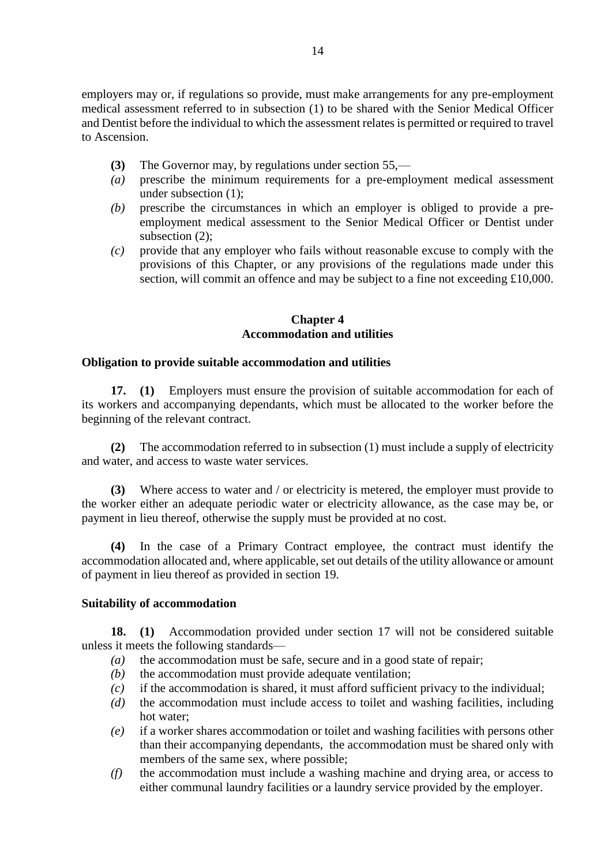employers may or, if regulations so provide, must make arrangements for any pre-employment medical assessment referred to in subsection (1) to be shared with the Senior Medical Officer and Dentist before the individual to which the assessment relates is permitted or required to travel to Ascension.

- **(3)** The Governor may, by regulations under section 55,—
- *(a)* prescribe the minimum requirements for a pre-employment medical assessment under subsection (1);
- *(b)* prescribe the circumstances in which an employer is obliged to provide a preemployment medical assessment to the Senior Medical Officer or Dentist under subsection (2);
- *(c)* provide that any employer who fails without reasonable excuse to comply with the provisions of this Chapter, or any provisions of the regulations made under this section, will commit an offence and may be subject to a fine not exceeding £10,000.

# **Chapter 4 Accommodation and utilities**

# **Obligation to provide suitable accommodation and utilities**

**17. (1)** Employers must ensure the provision of suitable accommodation for each of its workers and accompanying dependants, which must be allocated to the worker before the beginning of the relevant contract.

**(2)** The accommodation referred to in subsection (1) must include a supply of electricity and water, and access to waste water services.

**(3)** Where access to water and / or electricity is metered, the employer must provide to the worker either an adequate periodic water or electricity allowance, as the case may be, or payment in lieu thereof, otherwise the supply must be provided at no cost.

**(4)** In the case of a Primary Contract employee, the contract must identify the accommodation allocated and, where applicable, set out details of the utility allowance or amount of payment in lieu thereof as provided in section 19.

# **Suitability of accommodation**

**18. (1)** Accommodation provided under section 17 will not be considered suitable unless it meets the following standards—

- *(a)* the accommodation must be safe, secure and in a good state of repair;
- *(b)* the accommodation must provide adequate ventilation;
- *(c)* if the accommodation is shared, it must afford sufficient privacy to the individual;
- *(d)* the accommodation must include access to toilet and washing facilities, including hot water;
- *(e)* if a worker shares accommodation or toilet and washing facilities with persons other than their accompanying dependants, the accommodation must be shared only with members of the same sex, where possible;
- *(f)* the accommodation must include a washing machine and drying area, or access to either communal laundry facilities or a laundry service provided by the employer.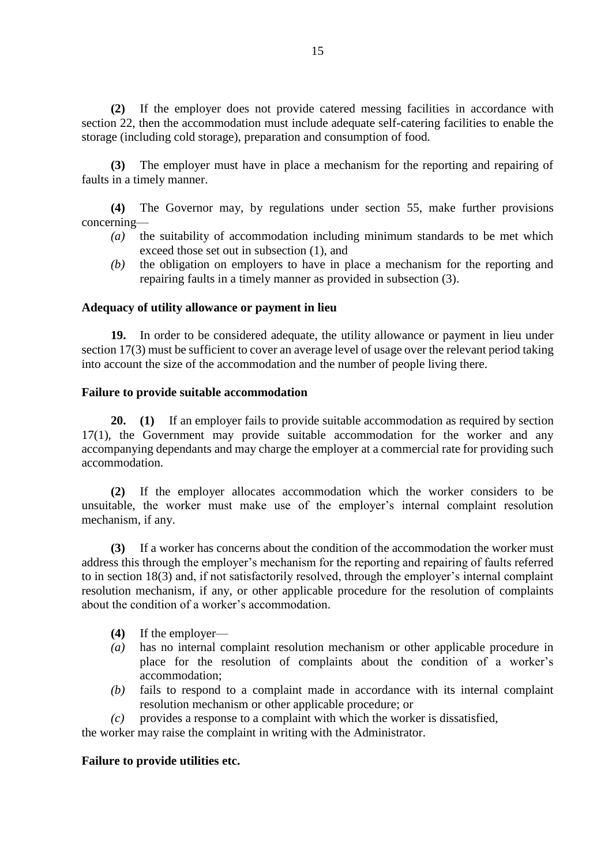**(2)** If the employer does not provide catered messing facilities in accordance with section 22, then the accommodation must include adequate self-catering facilities to enable the storage (including cold storage), preparation and consumption of food.

**(3)** The employer must have in place a mechanism for the reporting and repairing of faults in a timely manner.

**(4)** The Governor may, by regulations under section 55, make further provisions concerning—

- *(a)* the suitability of accommodation including minimum standards to be met which exceed those set out in subsection (1), and
- *(b)* the obligation on employers to have in place a mechanism for the reporting and repairing faults in a timely manner as provided in subsection (3).

#### **Adequacy of utility allowance or payment in lieu**

**19.** In order to be considered adequate, the utility allowance or payment in lieu under section 17(3) must be sufficient to cover an average level of usage over the relevant period taking into account the size of the accommodation and the number of people living there.

#### **Failure to provide suitable accommodation**

**20. (1)** If an employer fails to provide suitable accommodation as required by section 17(1), the Government may provide suitable accommodation for the worker and any accompanying dependants and may charge the employer at a commercial rate for providing such accommodation.

**(2)** If the employer allocates accommodation which the worker considers to be unsuitable, the worker must make use of the employer's internal complaint resolution mechanism, if any.

**(3)** If a worker has concerns about the condition of the accommodation the worker must address this through the employer's mechanism for the reporting and repairing of faults referred to in section 18(3) and, if not satisfactorily resolved, through the employer's internal complaint resolution mechanism, if any, or other applicable procedure for the resolution of complaints about the condition of a worker's accommodation.

- **(4)** If the employer—
- *(a)* has no internal complaint resolution mechanism or other applicable procedure in place for the resolution of complaints about the condition of a worker's accommodation;
- *(b)* fails to respond to a complaint made in accordance with its internal complaint resolution mechanism or other applicable procedure; or
- *(c)* provides a response to a complaint with which the worker is dissatisfied,

the worker may raise the complaint in writing with the Administrator.

#### **Failure to provide utilities etc.**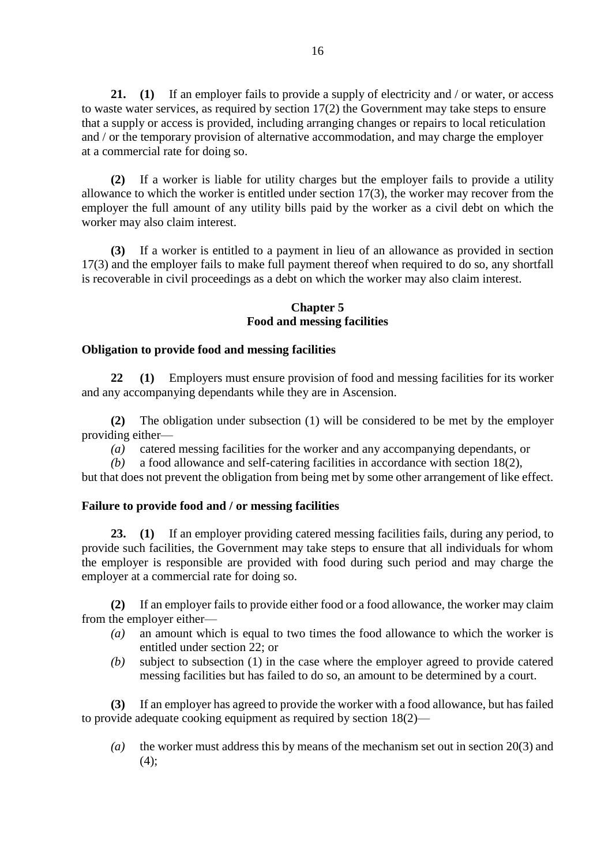**21. (1)** If an employer fails to provide a supply of electricity and / or water, or access to waste water services, as required by section 17(2) the Government may take steps to ensure that a supply or access is provided, including arranging changes or repairs to local reticulation and / or the temporary provision of alternative accommodation, and may charge the employer at a commercial rate for doing so.

**(2)** If a worker is liable for utility charges but the employer fails to provide a utility allowance to which the worker is entitled under section 17(3), the worker may recover from the employer the full amount of any utility bills paid by the worker as a civil debt on which the worker may also claim interest.

**(3)** If a worker is entitled to a payment in lieu of an allowance as provided in section 17(3) and the employer fails to make full payment thereof when required to do so, any shortfall is recoverable in civil proceedings as a debt on which the worker may also claim interest.

### **Chapter 5 Food and messing facilities**

# **Obligation to provide food and messing facilities**

**22 (1)** Employers must ensure provision of food and messing facilities for its worker and any accompanying dependants while they are in Ascension.

**(2)** The obligation under subsection (1) will be considered to be met by the employer providing either—

*(a)* catered messing facilities for the worker and any accompanying dependants, or

*(b)* a food allowance and self-catering facilities in accordance with section 18(2),

but that does not prevent the obligation from being met by some other arrangement of like effect.

# **Failure to provide food and / or messing facilities**

**23. (1)** If an employer providing catered messing facilities fails, during any period, to provide such facilities, the Government may take steps to ensure that all individuals for whom the employer is responsible are provided with food during such period and may charge the employer at a commercial rate for doing so.

**(2)** If an employer fails to provide either food or a food allowance, the worker may claim from the employer either—

- *(a)* an amount which is equal to two times the food allowance to which the worker is entitled under section 22; or
- *(b)* subject to subsection (1) in the case where the employer agreed to provide catered messing facilities but has failed to do so, an amount to be determined by a court.

**(3)** If an employer has agreed to provide the worker with a food allowance, but has failed to provide adequate cooking equipment as required by section 18(2)—

*(a)* the worker must address this by means of the mechanism set out in section 20(3) and  $(4)$ ;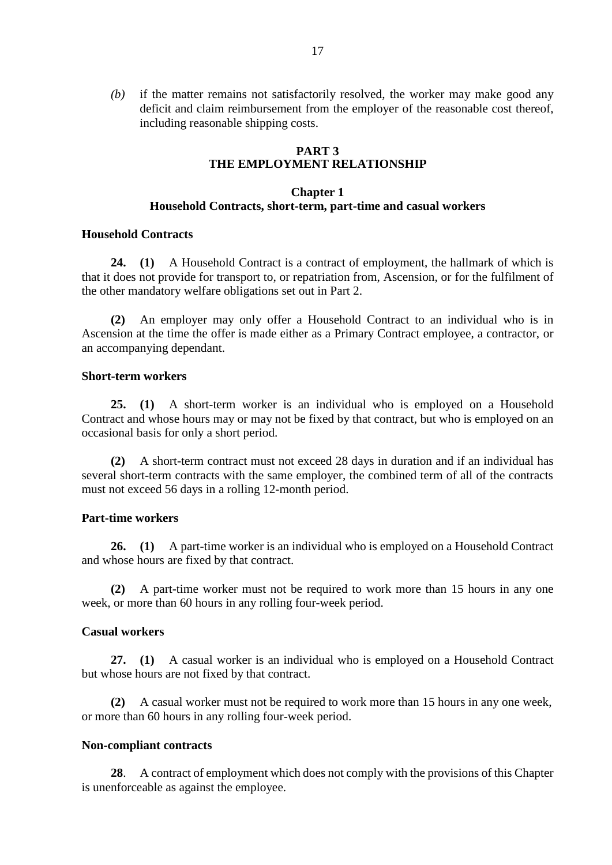*(b)* if the matter remains not satisfactorily resolved, the worker may make good any deficit and claim reimbursement from the employer of the reasonable cost thereof, including reasonable shipping costs.

# **PART 3 THE EMPLOYMENT RELATIONSHIP**

# **Chapter 1 Household Contracts, short-term, part-time and casual workers**

#### **Household Contracts**

**24. (1)** A Household Contract is a contract of employment, the hallmark of which is that it does not provide for transport to, or repatriation from, Ascension, or for the fulfilment of the other mandatory welfare obligations set out in Part 2.

**(2)** An employer may only offer a Household Contract to an individual who is in Ascension at the time the offer is made either as a Primary Contract employee, a contractor, or an accompanying dependant.

### **Short-term workers**

**25. (1)** A short-term worker is an individual who is employed on a Household Contract and whose hours may or may not be fixed by that contract, but who is employed on an occasional basis for only a short period.

**(2)** A short-term contract must not exceed 28 days in duration and if an individual has several short-term contracts with the same employer, the combined term of all of the contracts must not exceed 56 days in a rolling 12-month period.

# **Part-time workers**

**26. (1)** A part-time worker is an individual who is employed on a Household Contract and whose hours are fixed by that contract.

**(2)** A part-time worker must not be required to work more than 15 hours in any one week, or more than 60 hours in any rolling four-week period.

#### **Casual workers**

**27. (1)** A casual worker is an individual who is employed on a Household Contract but whose hours are not fixed by that contract.

**(2)** A casual worker must not be required to work more than 15 hours in any one week, or more than 60 hours in any rolling four-week period.

#### **Non-compliant contracts**

**28**. A contract of employment which does not comply with the provisions of this Chapter is unenforceable as against the employee.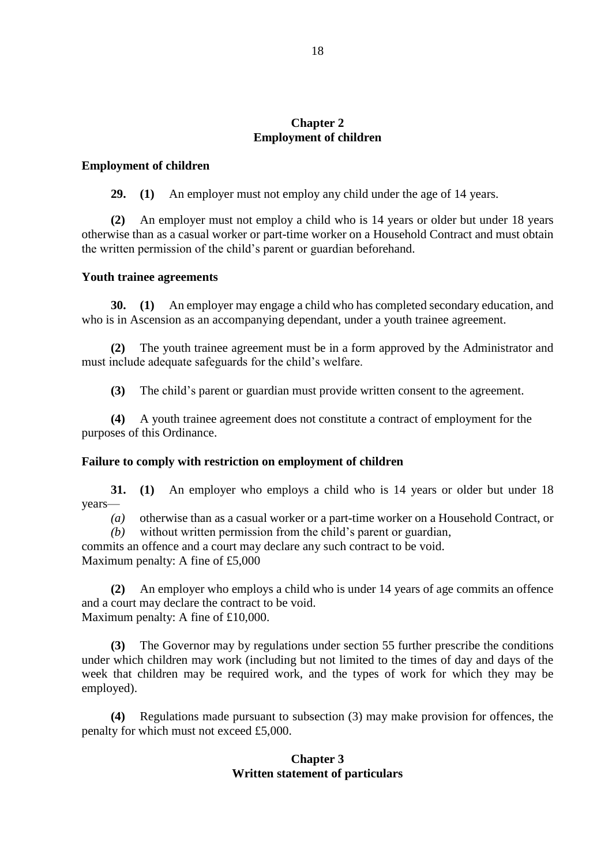### **Chapter 2 Employment of children**

#### **Employment of children**

**29. (1)** An employer must not employ any child under the age of 14 years.

**(2)** An employer must not employ a child who is 14 years or older but under 18 years otherwise than as a casual worker or part-time worker on a Household Contract and must obtain the written permission of the child's parent or guardian beforehand.

#### **Youth trainee agreements**

**30. (1)** An employer may engage a child who has completed secondary education, and who is in Ascension as an accompanying dependant, under a youth trainee agreement.

**(2)** The youth trainee agreement must be in a form approved by the Administrator and must include adequate safeguards for the child's welfare.

**(3)** The child's parent or guardian must provide written consent to the agreement.

**(4)** A youth trainee agreement does not constitute a contract of employment for the purposes of this Ordinance.

#### **Failure to comply with restriction on employment of children**

**31. (1)** An employer who employs a child who is 14 years or older but under 18 years—

*(a)* otherwise than as a casual worker or a part-time worker on a Household Contract, or

*(b)* without written permission from the child's parent or guardian,

commits an offence and a court may declare any such contract to be void. Maximum penalty: A fine of £5,000

**(2)** An employer who employs a child who is under 14 years of age commits an offence and a court may declare the contract to be void. Maximum penalty: A fine of £10,000.

**(3)** The Governor may by regulations under section 55 further prescribe the conditions under which children may work (including but not limited to the times of day and days of the week that children may be required work, and the types of work for which they may be employed).

**(4)** Regulations made pursuant to subsection (3) may make provision for offences, the penalty for which must not exceed £5,000.

# **Chapter 3 Written statement of particulars**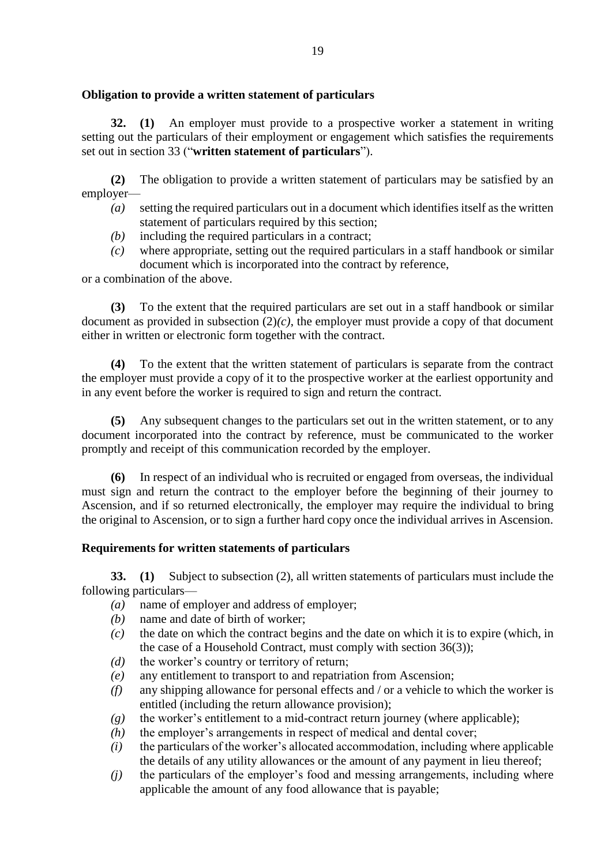# **Obligation to provide a written statement of particulars**

**32. (1)** An employer must provide to a prospective worker a statement in writing setting out the particulars of their employment or engagement which satisfies the requirements set out in section 33 ("**written statement of particulars**").

**(2)** The obligation to provide a written statement of particulars may be satisfied by an employer—

- *(a)* setting the required particulars out in a document which identifies itself as the written statement of particulars required by this section;
- *(b)* including the required particulars in a contract;
- *(c)* where appropriate, setting out the required particulars in a staff handbook or similar document which is incorporated into the contract by reference,

or a combination of the above.

**(3)** To the extent that the required particulars are set out in a staff handbook or similar document as provided in subsection (2)*(c)*, the employer must provide a copy of that document either in written or electronic form together with the contract.

**(4)** To the extent that the written statement of particulars is separate from the contract the employer must provide a copy of it to the prospective worker at the earliest opportunity and in any event before the worker is required to sign and return the contract.

**(5)** Any subsequent changes to the particulars set out in the written statement, or to any document incorporated into the contract by reference, must be communicated to the worker promptly and receipt of this communication recorded by the employer.

**(6)** In respect of an individual who is recruited or engaged from overseas, the individual must sign and return the contract to the employer before the beginning of their journey to Ascension, and if so returned electronically, the employer may require the individual to bring the original to Ascension, or to sign a further hard copy once the individual arrives in Ascension.

# **Requirements for written statements of particulars**

**33. (1)** Subject to subsection (2), all written statements of particulars must include the following particulars—

- *(a)* name of employer and address of employer;
- *(b)* name and date of birth of worker;
- *(c)* the date on which the contract begins and the date on which it is to expire (which, in the case of a Household Contract, must comply with section 36(3));
- *(d)* the worker's country or territory of return;
- *(e)* any entitlement to transport to and repatriation from Ascension;
- *(f)* any shipping allowance for personal effects and / or a vehicle to which the worker is entitled (including the return allowance provision);
- *(g)* the worker's entitlement to a mid-contract return journey (where applicable);
- *(h)* the employer's arrangements in respect of medical and dental cover;
- *(i)* the particulars of the worker's allocated accommodation, including where applicable the details of any utility allowances or the amount of any payment in lieu thereof;
- *(j)* the particulars of the employer's food and messing arrangements, including where applicable the amount of any food allowance that is payable;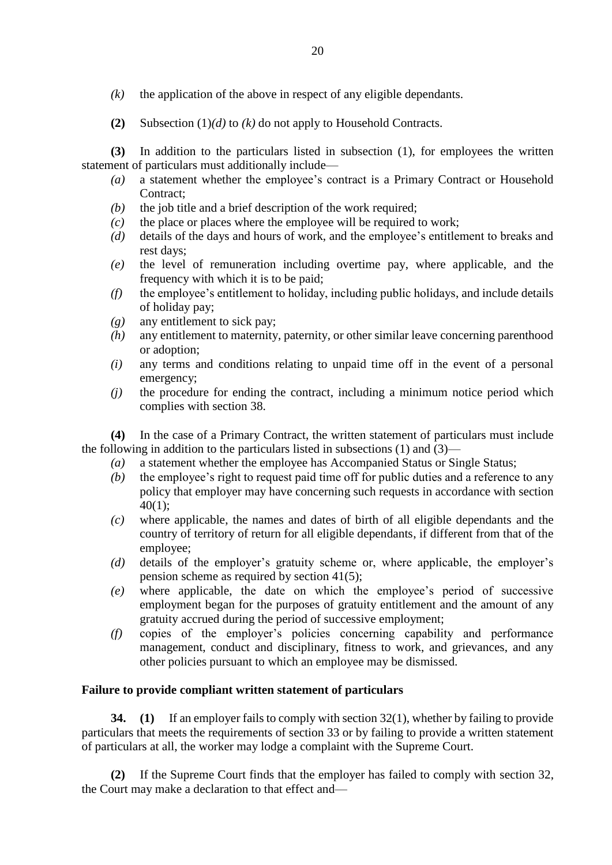- *(k)* the application of the above in respect of any eligible dependants.
- **(2)** Subsection (1)*(d)* to *(k)* do not apply to Household Contracts.

**(3)** In addition to the particulars listed in subsection (1), for employees the written statement of particulars must additionally include—

- *(a)* a statement whether the employee's contract is a Primary Contract or Household Contract:
- *(b)* the job title and a brief description of the work required;
- *(c)* the place or places where the employee will be required to work;
- *(d)* details of the days and hours of work, and the employee's entitlement to breaks and rest days;
- *(e)* the level of remuneration including overtime pay, where applicable, and the frequency with which it is to be paid;
- *(f)* the employee's entitlement to holiday, including public holidays, and include details of holiday pay;
- *(g)* any entitlement to sick pay;
- *(h)* any entitlement to maternity, paternity, or other similar leave concerning parenthood or adoption;
- *(i)* any terms and conditions relating to unpaid time off in the event of a personal emergency;
- *(j)* the procedure for ending the contract, including a minimum notice period which complies with section 38.

**(4)** In the case of a Primary Contract, the written statement of particulars must include the following in addition to the particulars listed in subsections (1) and (3)—

- *(a)* a statement whether the employee has Accompanied Status or Single Status;
- *(b)* the employee's right to request paid time off for public duties and a reference to any policy that employer may have concerning such requests in accordance with section 40(1);
- *(c)* where applicable, the names and dates of birth of all eligible dependants and the country of territory of return for all eligible dependants, if different from that of the employee;
- *(d)* details of the employer's gratuity scheme or, where applicable, the employer's pension scheme as required by section 41(5);
- *(e)* where applicable, the date on which the employee's period of successive employment began for the purposes of gratuity entitlement and the amount of any gratuity accrued during the period of successive employment;
- *(f)* copies of the employer's policies concerning capability and performance management, conduct and disciplinary, fitness to work, and grievances, and any other policies pursuant to which an employee may be dismissed.

# **Failure to provide compliant written statement of particulars**

**34. (1)** If an employer fails to comply with section 32(1), whether by failing to provide particulars that meets the requirements of section 33 or by failing to provide a written statement of particulars at all, the worker may lodge a complaint with the Supreme Court.

**(2)** If the Supreme Court finds that the employer has failed to comply with section 32, the Court may make a declaration to that effect and—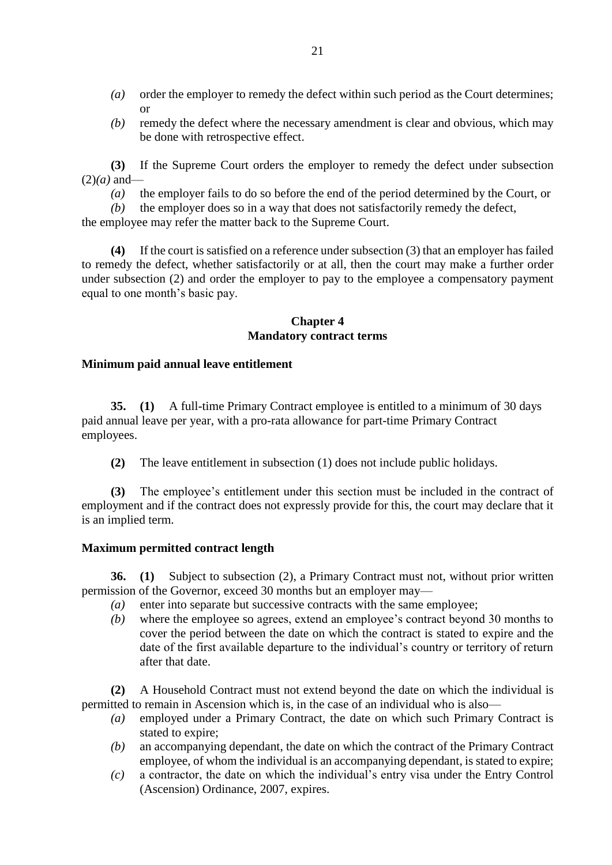- *(a)* order the employer to remedy the defect within such period as the Court determines; or
- *(b)* remedy the defect where the necessary amendment is clear and obvious, which may be done with retrospective effect.

**(3)** If the Supreme Court orders the employer to remedy the defect under subsection  $(2)(a)$  and—

*(a)* the employer fails to do so before the end of the period determined by the Court, or

*(b)* the employer does so in a way that does not satisfactorily remedy the defect,

the employee may refer the matter back to the Supreme Court.

**(4)** If the court is satisfied on a reference under subsection (3) that an employer has failed to remedy the defect, whether satisfactorily or at all, then the court may make a further order under subsection (2) and order the employer to pay to the employee a compensatory payment equal to one month's basic pay.

# **Chapter 4 Mandatory contract terms**

# **Minimum paid annual leave entitlement**

**35. (1)** A full-time Primary Contract employee is entitled to a minimum of 30 days paid annual leave per year, with a pro-rata allowance for part-time Primary Contract employees.

**(2)** The leave entitlement in subsection (1) does not include public holidays.

**(3)** The employee's entitlement under this section must be included in the contract of employment and if the contract does not expressly provide for this, the court may declare that it is an implied term.

# **Maximum permitted contract length**

**36. (1)** Subject to subsection (2), a Primary Contract must not, without prior written permission of the Governor, exceed 30 months but an employer may—

- *(a)* enter into separate but successive contracts with the same employee;
- *(b)* where the employee so agrees, extend an employee's contract beyond 30 months to cover the period between the date on which the contract is stated to expire and the date of the first available departure to the individual's country or territory of return after that date.

**(2)** A Household Contract must not extend beyond the date on which the individual is permitted to remain in Ascension which is, in the case of an individual who is also—

- *(a)* employed under a Primary Contract, the date on which such Primary Contract is stated to expire;
- *(b)* an accompanying dependant, the date on which the contract of the Primary Contract employee, of whom the individual is an accompanying dependant, is stated to expire;
- *(c)* a contractor, the date on which the individual's entry visa under the Entry Control (Ascension) Ordinance, 2007, expires.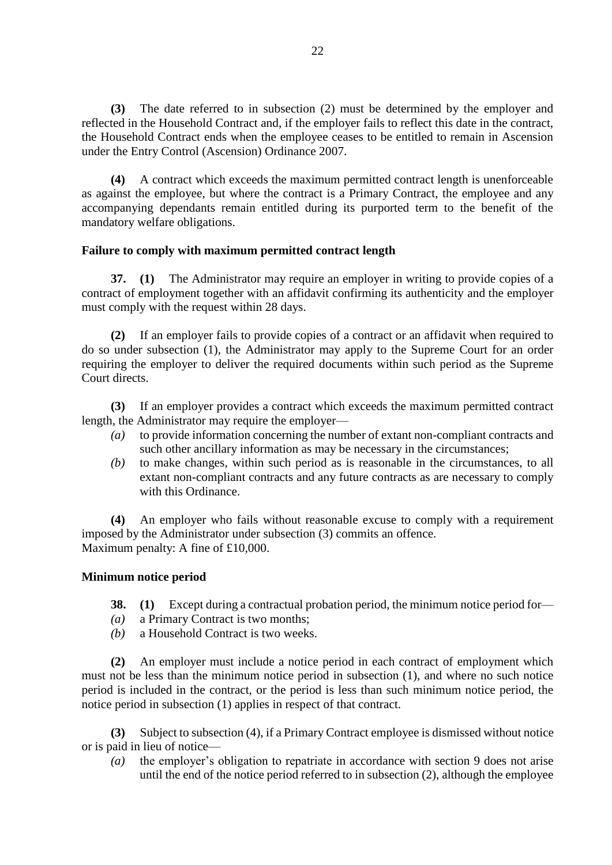**(3)** The date referred to in subsection (2) must be determined by the employer and reflected in the Household Contract and, if the employer fails to reflect this date in the contract, the Household Contract ends when the employee ceases to be entitled to remain in Ascension under the Entry Control (Ascension) Ordinance 2007.

**(4)** A contract which exceeds the maximum permitted contract length is unenforceable as against the employee, but where the contract is a Primary Contract, the employee and any accompanying dependants remain entitled during its purported term to the benefit of the mandatory welfare obligations.

# **Failure to comply with maximum permitted contract length**

**37. (1)** The Administrator may require an employer in writing to provide copies of a contract of employment together with an affidavit confirming its authenticity and the employer must comply with the request within 28 days.

**(2)** If an employer fails to provide copies of a contract or an affidavit when required to do so under subsection (1), the Administrator may apply to the Supreme Court for an order requiring the employer to deliver the required documents within such period as the Supreme Court directs.

**(3)** If an employer provides a contract which exceeds the maximum permitted contract length, the Administrator may require the employer—

- *(a)* to provide information concerning the number of extant non-compliant contracts and such other ancillary information as may be necessary in the circumstances;
- *(b)* to make changes, within such period as is reasonable in the circumstances, to all extant non-compliant contracts and any future contracts as are necessary to comply with this Ordinance.

**(4)** An employer who fails without reasonable excuse to comply with a requirement imposed by the Administrator under subsection (3) commits an offence. Maximum penalty: A fine of £10,000.

# **Minimum notice period**

- **38. (1)** Except during a contractual probation period, the minimum notice period for—
- *(a)* a Primary Contract is two months;
- *(b)* a Household Contract is two weeks.

**(2)** An employer must include a notice period in each contract of employment which must not be less than the minimum notice period in subsection (1), and where no such notice period is included in the contract, or the period is less than such minimum notice period, the notice period in subsection (1) applies in respect of that contract.

**(3)** Subject to subsection (4), if a Primary Contract employee is dismissed without notice or is paid in lieu of notice—

*(a)* the employer's obligation to repatriate in accordance with section 9 does not arise until the end of the notice period referred to in subsection (2), although the employee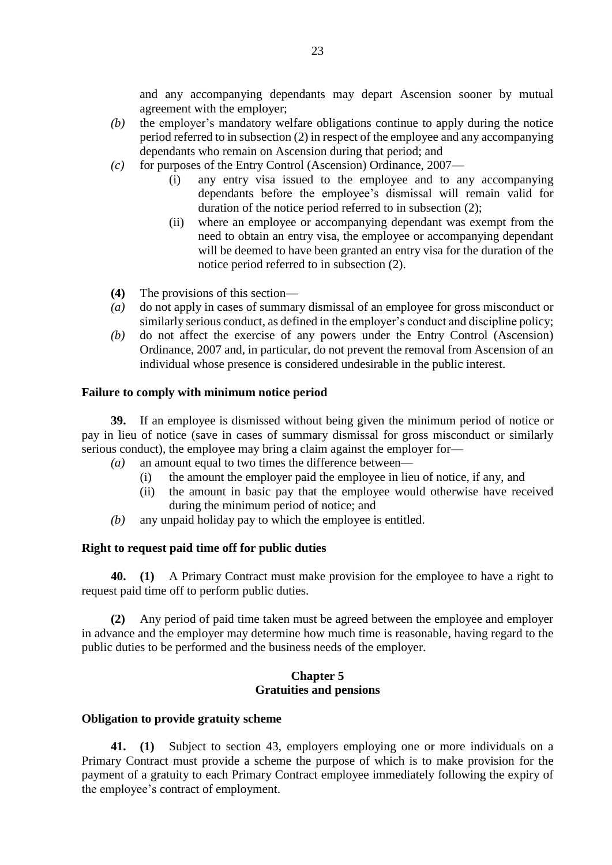and any accompanying dependants may depart Ascension sooner by mutual agreement with the employer;

- *(b)* the employer's mandatory welfare obligations continue to apply during the notice period referred to in subsection (2) in respect of the employee and any accompanying dependants who remain on Ascension during that period; and
- *(c)* for purposes of the Entry Control (Ascension) Ordinance, 2007—
	- (i) any entry visa issued to the employee and to any accompanying dependants before the employee's dismissal will remain valid for duration of the notice period referred to in subsection (2);
	- (ii) where an employee or accompanying dependant was exempt from the need to obtain an entry visa, the employee or accompanying dependant will be deemed to have been granted an entry visa for the duration of the notice period referred to in subsection (2).
- **(4)** The provisions of this section—
- *(a)* do not apply in cases of summary dismissal of an employee for gross misconduct or similarly serious conduct, as defined in the employer's conduct and discipline policy;
- *(b)* do not affect the exercise of any powers under the Entry Control (Ascension) Ordinance, 2007 and, in particular, do not prevent the removal from Ascension of an individual whose presence is considered undesirable in the public interest.

#### **Failure to comply with minimum notice period**

**39.** If an employee is dismissed without being given the minimum period of notice or pay in lieu of notice (save in cases of summary dismissal for gross misconduct or similarly serious conduct), the employee may bring a claim against the employer for—

- *(a)* an amount equal to two times the difference between—
	- (i) the amount the employer paid the employee in lieu of notice, if any, and
	- (ii) the amount in basic pay that the employee would otherwise have received during the minimum period of notice; and
- *(b)* any unpaid holiday pay to which the employee is entitled.

#### **Right to request paid time off for public duties**

**40. (1)** A Primary Contract must make provision for the employee to have a right to request paid time off to perform public duties.

**(2)** Any period of paid time taken must be agreed between the employee and employer in advance and the employer may determine how much time is reasonable, having regard to the public duties to be performed and the business needs of the employer.

#### **Chapter 5 Gratuities and pensions**

#### **Obligation to provide gratuity scheme**

**41. (1)** Subject to section 43, employers employing one or more individuals on a Primary Contract must provide a scheme the purpose of which is to make provision for the payment of a gratuity to each Primary Contract employee immediately following the expiry of the employee's contract of employment.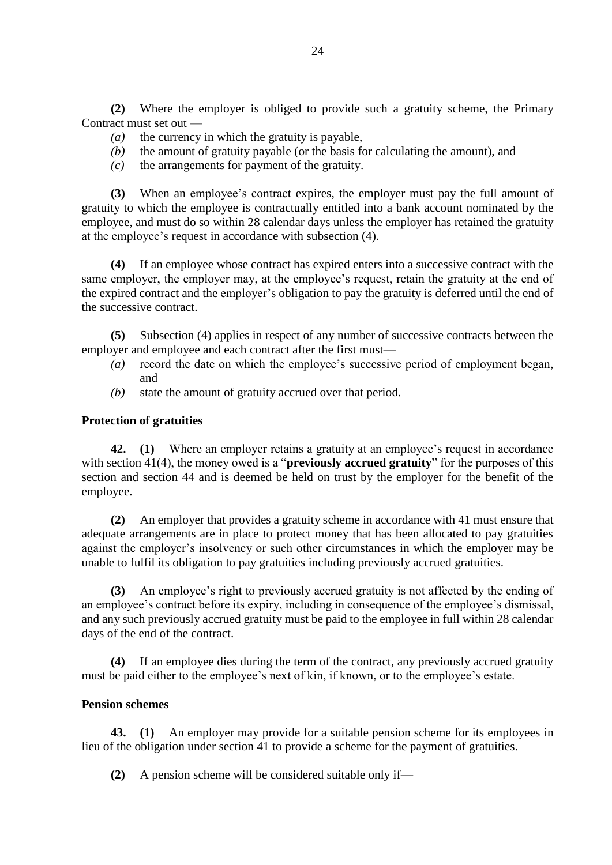**(2)** Where the employer is obliged to provide such a gratuity scheme, the Primary Contract must set out —

- *(a)* the currency in which the gratuity is payable,
- *(b)* the amount of gratuity payable (or the basis for calculating the amount), and
- *(c)* the arrangements for payment of the gratuity.

**(3)** When an employee's contract expires, the employer must pay the full amount of gratuity to which the employee is contractually entitled into a bank account nominated by the employee, and must do so within 28 calendar days unless the employer has retained the gratuity at the employee's request in accordance with subsection (4).

**(4)** If an employee whose contract has expired enters into a successive contract with the same employer, the employer may, at the employee's request, retain the gratuity at the end of the expired contract and the employer's obligation to pay the gratuity is deferred until the end of the successive contract.

**(5)** Subsection (4) applies in respect of any number of successive contracts between the employer and employee and each contract after the first must—

- *(a)* record the date on which the employee's successive period of employment began, and
- *(b)* state the amount of gratuity accrued over that period.

# **Protection of gratuities**

**42. (1)** Where an employer retains a gratuity at an employee's request in accordance with section 41(4), the money owed is a "**previously accrued gratuity**" for the purposes of this section and section 44 and is deemed be held on trust by the employer for the benefit of the employee.

**(2)** An employer that provides a gratuity scheme in accordance with 41 must ensure that adequate arrangements are in place to protect money that has been allocated to pay gratuities against the employer's insolvency or such other circumstances in which the employer may be unable to fulfil its obligation to pay gratuities including previously accrued gratuities.

**(3)** An employee's right to previously accrued gratuity is not affected by the ending of an employee's contract before its expiry, including in consequence of the employee's dismissal, and any such previously accrued gratuity must be paid to the employee in full within 28 calendar days of the end of the contract.

**(4)** If an employee dies during the term of the contract, any previously accrued gratuity must be paid either to the employee's next of kin, if known, or to the employee's estate.

# **Pension schemes**

**43. (1)** An employer may provide for a suitable pension scheme for its employees in lieu of the obligation under section 41 to provide a scheme for the payment of gratuities.

**(2)** A pension scheme will be considered suitable only if—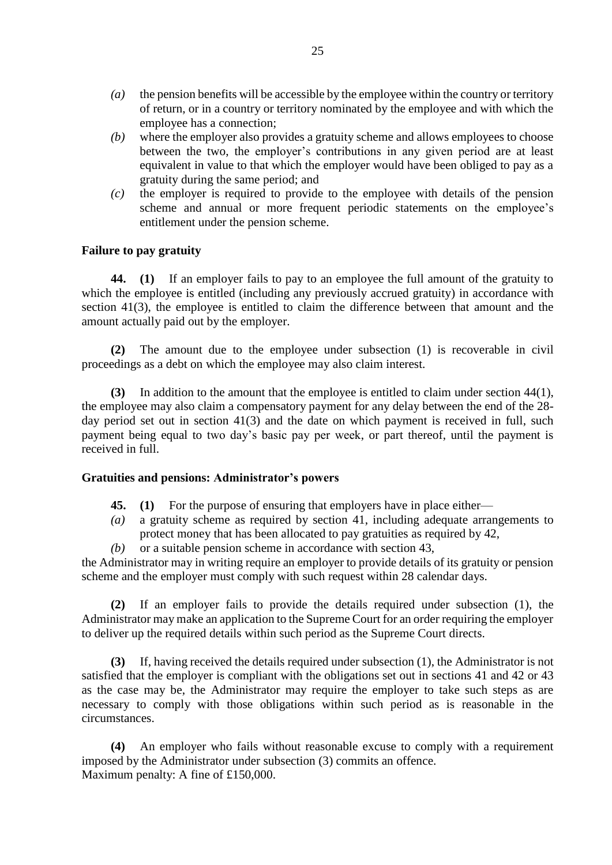- *(a)* the pension benefits will be accessible by the employee within the country or territory of return, or in a country or territory nominated by the employee and with which the employee has a connection;
- *(b)* where the employer also provides a gratuity scheme and allows employees to choose between the two, the employer's contributions in any given period are at least equivalent in value to that which the employer would have been obliged to pay as a gratuity during the same period; and
- *(c)* the employer is required to provide to the employee with details of the pension scheme and annual or more frequent periodic statements on the employee's entitlement under the pension scheme.

# **Failure to pay gratuity**

**44. (1)** If an employer fails to pay to an employee the full amount of the gratuity to which the employee is entitled (including any previously accrued gratuity) in accordance with section 41(3), the employee is entitled to claim the difference between that amount and the amount actually paid out by the employer.

**(2)** The amount due to the employee under subsection (1) is recoverable in civil proceedings as a debt on which the employee may also claim interest.

**(3)** In addition to the amount that the employee is entitled to claim under section 44(1), the employee may also claim a compensatory payment for any delay between the end of the 28 day period set out in section 41(3) and the date on which payment is received in full, such payment being equal to two day's basic pay per week, or part thereof, until the payment is received in full.

#### **Gratuities and pensions: Administrator's powers**

- **45. (1)** For the purpose of ensuring that employers have in place either—
- *(a)* a gratuity scheme as required by section 41, including adequate arrangements to protect money that has been allocated to pay gratuities as required by 42,
- *(b)* or a suitable pension scheme in accordance with section 43,

the Administrator may in writing require an employer to provide details of its gratuity or pension scheme and the employer must comply with such request within 28 calendar days.

**(2)** If an employer fails to provide the details required under subsection (1), the Administrator may make an application to the Supreme Court for an order requiring the employer to deliver up the required details within such period as the Supreme Court directs.

**(3)** If, having received the details required under subsection (1), the Administrator is not satisfied that the employer is compliant with the obligations set out in sections 41 and 42 or 43 as the case may be, the Administrator may require the employer to take such steps as are necessary to comply with those obligations within such period as is reasonable in the circumstances.

**(4)** An employer who fails without reasonable excuse to comply with a requirement imposed by the Administrator under subsection (3) commits an offence. Maximum penalty: A fine of £150,000.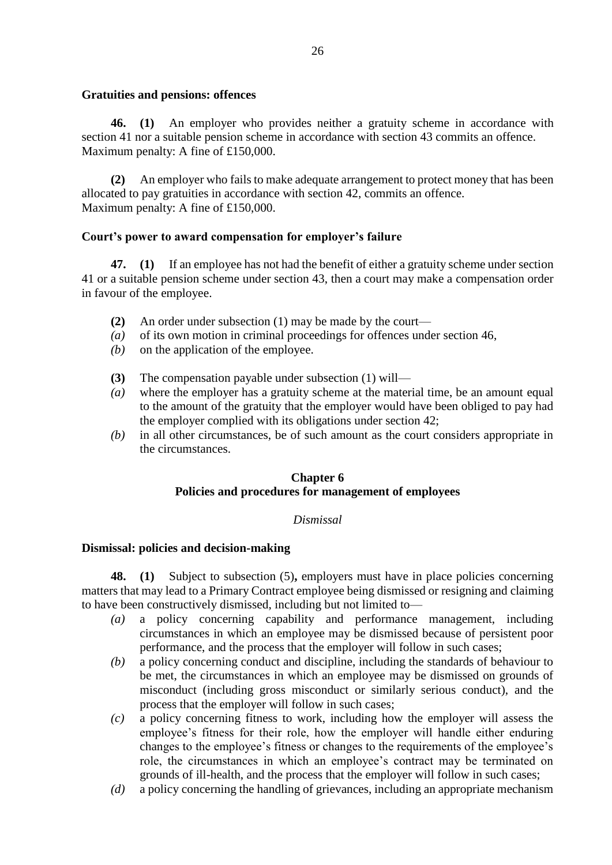# **Gratuities and pensions: offences**

**46. (1)** An employer who provides neither a gratuity scheme in accordance with section 41 nor a suitable pension scheme in accordance with section 43 commits an offence. Maximum penalty: A fine of £150,000.

**(2)** An employer who fails to make adequate arrangement to protect money that has been allocated to pay gratuities in accordance with section 42, commits an offence. Maximum penalty: A fine of £150,000.

# **Court's power to award compensation for employer's failure**

**47. (1)** If an employee has not had the benefit of either a gratuity scheme under section 41 or a suitable pension scheme under section 43, then a court may make a compensation order in favour of the employee.

- **(2)** An order under subsection (1) may be made by the court—
- *(a)* of its own motion in criminal proceedings for offences under section 46,
- *(b)* on the application of the employee.
- **(3)** The compensation payable under subsection (1) will—
- *(a)* where the employer has a gratuity scheme at the material time, be an amount equal to the amount of the gratuity that the employer would have been obliged to pay had the employer complied with its obligations under section 42;
- *(b)* in all other circumstances, be of such amount as the court considers appropriate in the circumstances.

# **Chapter 6 Policies and procedures for management of employees**

# *Dismissal*

# **Dismissal: policies and decision-making**

**48. (1)** Subject to subsection (5)**,** employers must have in place policies concerning matters that may lead to a Primary Contract employee being dismissed or resigning and claiming to have been constructively dismissed, including but not limited to—

- *(a)* a policy concerning capability and performance management, including circumstances in which an employee may be dismissed because of persistent poor performance, and the process that the employer will follow in such cases;
- *(b)* a policy concerning conduct and discipline, including the standards of behaviour to be met, the circumstances in which an employee may be dismissed on grounds of misconduct (including gross misconduct or similarly serious conduct), and the process that the employer will follow in such cases;
- *(c)* a policy concerning fitness to work, including how the employer will assess the employee's fitness for their role, how the employer will handle either enduring changes to the employee's fitness or changes to the requirements of the employee's role, the circumstances in which an employee's contract may be terminated on grounds of ill-health, and the process that the employer will follow in such cases;
- *(d)* a policy concerning the handling of grievances, including an appropriate mechanism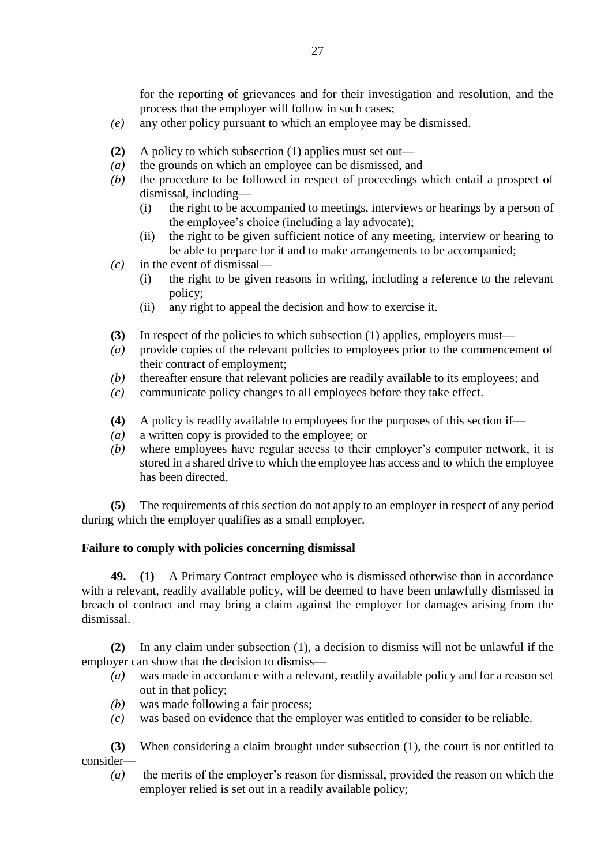for the reporting of grievances and for their investigation and resolution, and the process that the employer will follow in such cases;

- *(e)* any other policy pursuant to which an employee may be dismissed.
- **(2)** A policy to which subsection (1) applies must set out—
- *(a)* the grounds on which an employee can be dismissed, and
- *(b)* the procedure to be followed in respect of proceedings which entail a prospect of dismissal, including—
	- (i) the right to be accompanied to meetings, interviews or hearings by a person of the employee's choice (including a lay advocate);
	- (ii) the right to be given sufficient notice of any meeting, interview or hearing to be able to prepare for it and to make arrangements to be accompanied;
- *(c)* in the event of dismissal—
	- (i) the right to be given reasons in writing, including a reference to the relevant policy;
	- (ii) any right to appeal the decision and how to exercise it.
- **(3)** In respect of the policies to which subsection (1) applies, employers must—
- *(a)* provide copies of the relevant policies to employees prior to the commencement of their contract of employment;
- *(b)* thereafter ensure that relevant policies are readily available to its employees; and
- *(c)* communicate policy changes to all employees before they take effect.
- **(4)** A policy is readily available to employees for the purposes of this section if—
- *(a)* a written copy is provided to the employee; or
- *(b)* where employees have regular access to their employer's computer network, it is stored in a shared drive to which the employee has access and to which the employee has been directed.

**(5)** The requirements of this section do not apply to an employer in respect of any period during which the employer qualifies as a small employer.

# **Failure to comply with policies concerning dismissal**

**49. (1)** A Primary Contract employee who is dismissed otherwise than in accordance with a relevant, readily available policy, will be deemed to have been unlawfully dismissed in breach of contract and may bring a claim against the employer for damages arising from the dismissal.

**(2)** In any claim under subsection (1), a decision to dismiss will not be unlawful if the employer can show that the decision to dismiss—

- *(a)* was made in accordance with a relevant, readily available policy and for a reason set out in that policy;
- *(b)* was made following a fair process;
- *(c)* was based on evidence that the employer was entitled to consider to be reliable.

**(3)** When considering a claim brought under subsection (1), the court is not entitled to consider—

*(a)* the merits of the employer's reason for dismissal, provided the reason on which the employer relied is set out in a readily available policy;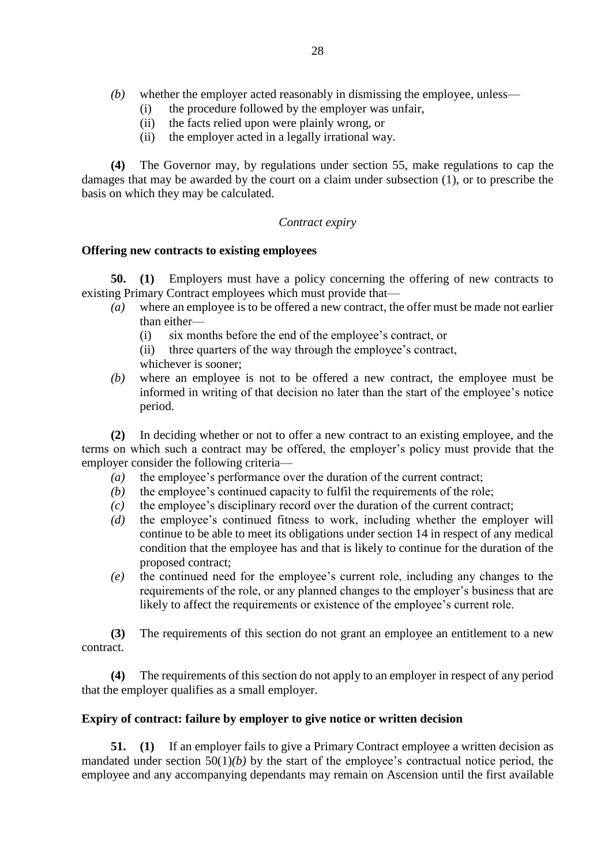- *(b)* whether the employer acted reasonably in dismissing the employee, unless—
	- (i) the procedure followed by the employer was unfair,
	- (ii) the facts relied upon were plainly wrong, or
	- (ii) the employer acted in a legally irrational way.

**(4)** The Governor may, by regulations under section 55, make regulations to cap the damages that may be awarded by the court on a claim under subsection (1), or to prescribe the basis on which they may be calculated.

# *Contract expiry*

# **Offering new contracts to existing employees**

**50. (1)** Employers must have a policy concerning the offering of new contracts to existing Primary Contract employees which must provide that—

- *(a)* where an employee is to be offered a new contract, the offer must be made not earlier than either—
	- (i) six months before the end of the employee's contract, or
	- (ii) three quarters of the way through the employee's contract,

whichever is sooner;

*(b)* where an employee is not to be offered a new contract, the employee must be informed in writing of that decision no later than the start of the employee's notice period.

**(2)** In deciding whether or not to offer a new contract to an existing employee, and the terms on which such a contract may be offered, the employer's policy must provide that the employer consider the following criteria—

- *(a)* the employee's performance over the duration of the current contract;
- *(b)* the employee's continued capacity to fulfil the requirements of the role;
- *(c)* the employee's disciplinary record over the duration of the current contract;
- *(d)* the employee's continued fitness to work, including whether the employer will continue to be able to meet its obligations under section 14 in respect of any medical condition that the employee has and that is likely to continue for the duration of the proposed contract;
- *(e)* the continued need for the employee's current role, including any changes to the requirements of the role, or any planned changes to the employer's business that are likely to affect the requirements or existence of the employee's current role.

**(3)** The requirements of this section do not grant an employee an entitlement to a new contract.

**(4)** The requirements of this section do not apply to an employer in respect of any period that the employer qualifies as a small employer.

# **Expiry of contract: failure by employer to give notice or written decision**

**51. (1)** If an employer fails to give a Primary Contract employee a written decision as mandated under section 50(1)*(b)* by the start of the employee's contractual notice period, the employee and any accompanying dependants may remain on Ascension until the first available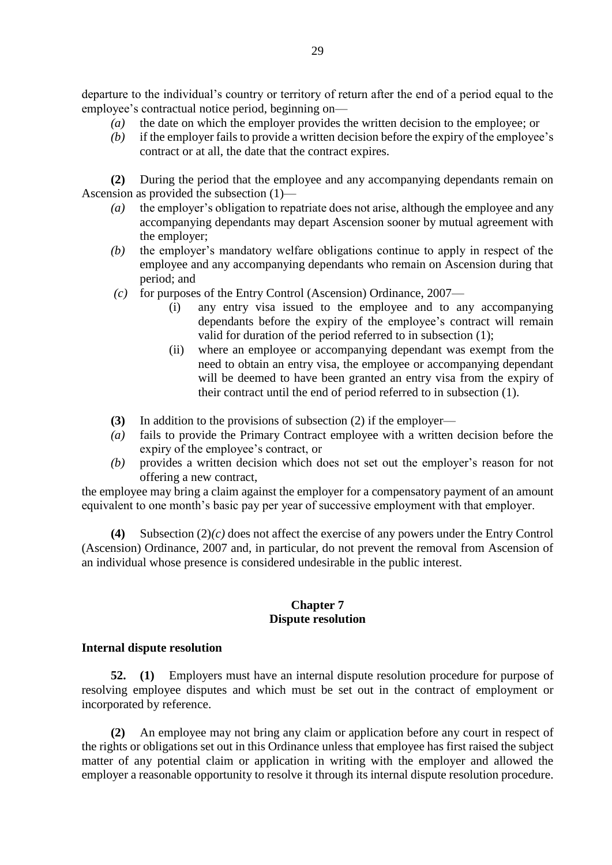departure to the individual's country or territory of return after the end of a period equal to the employee's contractual notice period, beginning on—

- *(a)* the date on which the employer provides the written decision to the employee; or
- *(b)* if the employer fails to provide a written decision before the expiry of the employee's contract or at all, the date that the contract expires.

**(2)** During the period that the employee and any accompanying dependants remain on Ascension as provided the subsection (1)—

- *(a)* the employer's obligation to repatriate does not arise, although the employee and any accompanying dependants may depart Ascension sooner by mutual agreement with the employer;
- *(b)* the employer's mandatory welfare obligations continue to apply in respect of the employee and any accompanying dependants who remain on Ascension during that period; and
- *(c)* for purposes of the Entry Control (Ascension) Ordinance, 2007—
	- (i) any entry visa issued to the employee and to any accompanying dependants before the expiry of the employee's contract will remain valid for duration of the period referred to in subsection (1);
	- (ii) where an employee or accompanying dependant was exempt from the need to obtain an entry visa, the employee or accompanying dependant will be deemed to have been granted an entry visa from the expiry of their contract until the end of period referred to in subsection (1).
- **(3)** In addition to the provisions of subsection (2) if the employer—
- *(a)* fails to provide the Primary Contract employee with a written decision before the expiry of the employee's contract, or
- *(b)* provides a written decision which does not set out the employer's reason for not offering a new contract,

the employee may bring a claim against the employer for a compensatory payment of an amount equivalent to one month's basic pay per year of successive employment with that employer.

**(4)** Subsection (2)*(c)* does not affect the exercise of any powers under the Entry Control (Ascension) Ordinance, 2007 and, in particular, do not prevent the removal from Ascension of an individual whose presence is considered undesirable in the public interest.

#### **Chapter 7 Dispute resolution**

# **Internal dispute resolution**

**52. (1)** Employers must have an internal dispute resolution procedure for purpose of resolving employee disputes and which must be set out in the contract of employment or incorporated by reference.

**(2)** An employee may not bring any claim or application before any court in respect of the rights or obligations set out in this Ordinance unless that employee has first raised the subject matter of any potential claim or application in writing with the employer and allowed the employer a reasonable opportunity to resolve it through its internal dispute resolution procedure.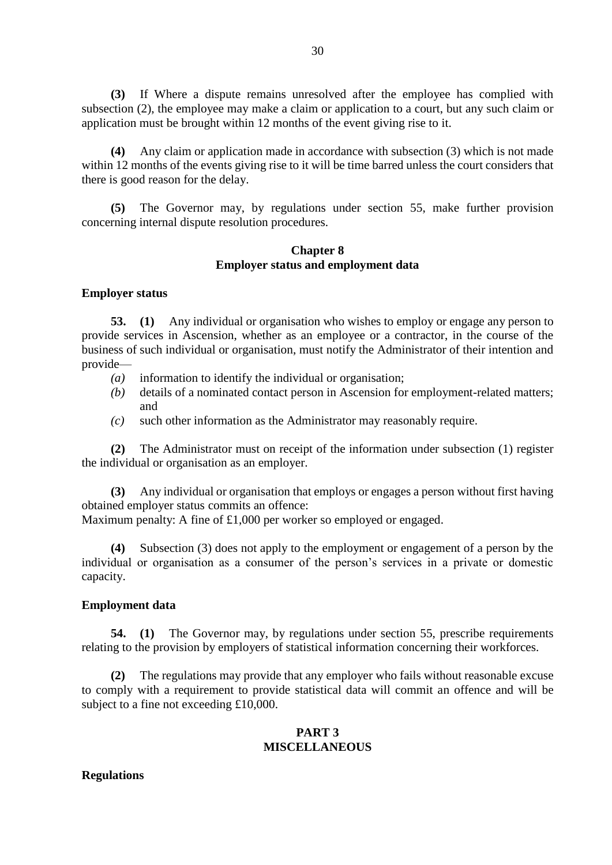**(3)** If Where a dispute remains unresolved after the employee has complied with subsection (2), the employee may make a claim or application to a court, but any such claim or application must be brought within 12 months of the event giving rise to it.

**(4)** Any claim or application made in accordance with subsection (3) which is not made within 12 months of the events giving rise to it will be time barred unless the court considers that there is good reason for the delay.

**(5)** The Governor may, by regulations under section 55, make further provision concerning internal dispute resolution procedures.

### **Chapter 8 Employer status and employment data**

#### **Employer status**

**53. (1)** Any individual or organisation who wishes to employ or engage any person to provide services in Ascension, whether as an employee or a contractor, in the course of the business of such individual or organisation, must notify the Administrator of their intention and provide—

- *(a)* information to identify the individual or organisation;
- *(b)* details of a nominated contact person in Ascension for employment-related matters; and
- *(c)* such other information as the Administrator may reasonably require.

**(2)** The Administrator must on receipt of the information under subsection (1) register the individual or organisation as an employer.

**(3)** Any individual or organisation that employs or engages a person without first having obtained employer status commits an offence:

Maximum penalty: A fine of £1,000 per worker so employed or engaged.

**(4)** Subsection (3) does not apply to the employment or engagement of a person by the individual or organisation as a consumer of the person's services in a private or domestic capacity.

#### **Employment data**

**54. (1)** The Governor may, by regulations under section 55, prescribe requirements relating to the provision by employers of statistical information concerning their workforces.

**(2)** The regulations may provide that any employer who fails without reasonable excuse to comply with a requirement to provide statistical data will commit an offence and will be subject to a fine not exceeding £10,000.

# **PART 3 MISCELLANEOUS**